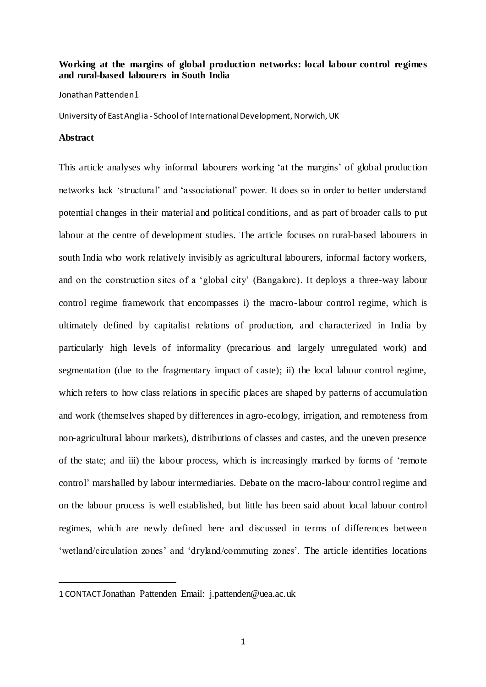# **Working at the margins of global production networks: local labour control regimes and rural-based labourers in South India**

## Jonathan Pattenden1

University of East Anglia - School of International Development, Norwich, UK

## **Abstract**

 $\overline{a}$ 

This article analyses why informal labourers working 'at the margins' of global production networks lack 'structural' and 'associational' power. It does so in order to better understand potential changes in their material and political conditions, and as part of broader calls to put labour at the centre of development studies. The article focuses on rural-based labourers in south India who work relatively invisibly as agricultural labourers, informal factory workers, and on the construction sites of a 'global city' (Bangalore). It deploys a three-way labour control regime framework that encompasses i) the macro-labour control regime, which is ultimately defined by capitalist relations of production, and characterized in India by particularly high levels of informality (precarious and largely unregulated work) and segmentation (due to the fragmentary impact of caste); ii) the local labour control regime, which refers to how class relations in specific places are shaped by patterns of accumulation and work (themselves shaped by differences in agro-ecology, irrigation, and remoteness from non-agricultural labour markets), distributions of classes and castes, and the uneven presence of the state; and iii) the labour process, which is increasingly marked by forms of 'remote control' marshalled by labour intermediaries. Debate on the macro-labour control regime and on the labour process is well established, but little has been said about local labour control regimes, which are newly defined here and discussed in terms of differences between 'wetland/circulation zones' and 'dryland/commuting zones'. The article identifies locations

<sup>1</sup> CONTACT Jonathan Pattenden Email: j.pattenden@uea.ac.uk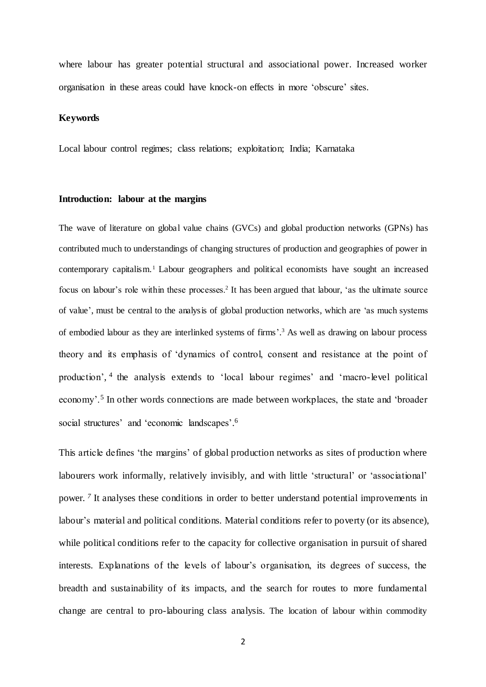where labour has greater potential structural and associational power. Increased worker organisation in these areas could have knock-on effects in more 'obscure' sites.

### **Keywords**

Local labour control regimes; class relations; exploitation; India; Karnataka

## **Introduction: labour at the margins**

The wave of literature on global value chains (GVCs) and global production networks (GPNs) has contributed much to understandings of changing structures of production and geographies of power in contemporary capitalism. <sup>1</sup> Labour geographers and political economists have sought an increased focus on labour's role within these processes.<sup>2</sup> It has been argued that labour, 'as the ultimate source of value', must be central to the analysis of global production networks, which are 'as much systems of embodied labour as they are interlinked systems of firms'. <sup>3</sup> As well as drawing on labour process theory and its emphasis of 'dynamics of control, consent and resistance at the point of production', 4 the analysis extends to 'local labour regimes' and 'macro-level political economy'.<sup>5</sup> In other words connections are made between workplaces, the state and 'broader social structures' and 'economic landscapes'.<sup>6</sup>

This article defines 'the margins' of global production networks as sites of production where labourers work informally, relatively invisibly, and with little 'structural' or 'associational' power. *<sup>7</sup>* It analyses these conditions in order to better understand potential improvements in labour's material and political conditions. Material conditions refer to poverty (or its absence), while political conditions refer to the capacity for collective organisation in pursuit of shared interests. Explanations of the levels of labour's organisation, its degrees of success, the breadth and sustainability of its impacts, and the search for routes to more fundamental change are central to pro-labouring class analysis. The location of labour within commodity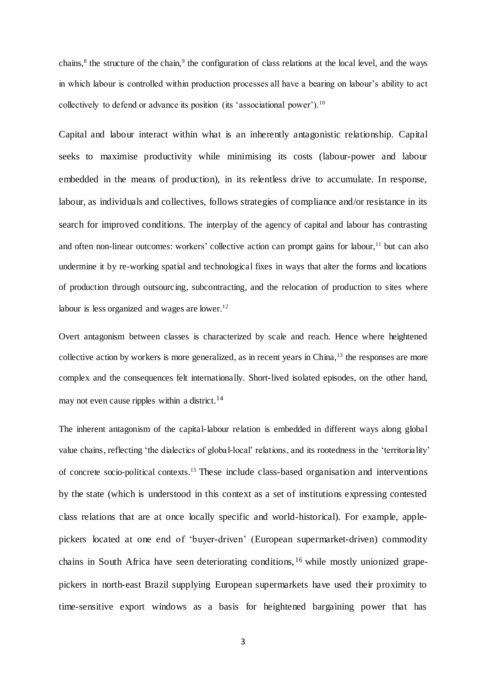chains,<sup>8</sup> the structure of the chain,<sup>9</sup> the configuration of class relations at the local level, and the ways in which labour is controlled within production processes all have a bearing on labour's ability to act collectively to defend or advance its position (its 'associational power').<sup>10</sup>

Capital and labour interact within what is an inherently antagonistic relationship. Capital seeks to maximise productivity while minimising its costs (labour-power and labour embedded in the means of production), in its relentless drive to accumulate. In response, labour, as individuals and collectives, follows strategies of compliance and/or resistance in its search for improved conditions. The interplay of the agency of capital and labour has contrasting and often non-linear outcomes: workers' collective action can prompt gains for labour, <sup>11</sup> but can also undermine it by re-working spatial and technological fixes in ways that alter the forms and locations of production through outsourcing, subcontracting, and the relocation of production to sites where labour is less organized and wages are lower.<sup>12</sup>

Overt antagonism between classes is characterized by scale and reach. Hence where heightened collective action by workers is more generalized, as in recent years in China,<sup>13</sup> the responses are more complex and the consequences felt internationally. Short-lived isolated episodes, on the other hand, may not even cause ripples within a district.<sup>14</sup>

The inherent antagonism of the capital-labour relation is embedded in different ways along global value chains, reflecting 'the dialectics of global-local' relations, and its rootedness in the 'territoriality' of concrete socio-political contexts. <sup>15</sup> These include class-based organisation and interventions by the state (which is understood in this context as a set of institutions expressing contested class relations that are at once locally specific and world-historical). For example, applepickers located at one end of 'buyer-driven' (European supermarket-driven) commodity chains in South Africa have seen deteriorating conditions, <sup>16</sup> while mostly unionized grapepickers in north-east Brazil supplying European supermarkets have used their proximity to time-sensitive export windows as a basis for heightened bargaining power that has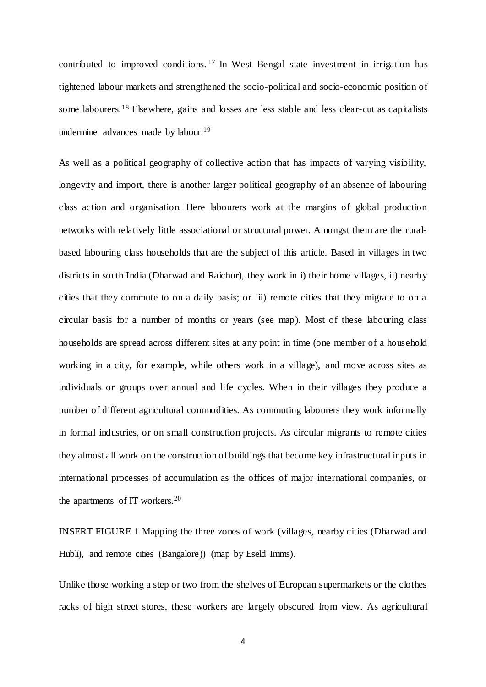contributed to improved conditions. <sup>17</sup> In West Bengal state investment in irrigation has tightened labour markets and strengthened the socio-political and socio-economic position of some labourers.<sup>18</sup> Elsewhere, gains and losses are less stable and less clear-cut as capitalists undermine advances made by labour.<sup>19</sup>

As well as a political geography of collective action that has impacts of varying visibility, longevity and import, there is another larger political geography of an absence of labouring class action and organisation. Here labourers work at the margins of global production networks with relatively little associational or structural power. Amongst them are the ruralbased labouring class households that are the subject of this article. Based in villages in two districts in south India (Dharwad and Raichur), they work in i) their home villages, ii) nearby cities that they commute to on a daily basis; or iii) remote cities that they migrate to on a circular basis for a number of months or years (see map). Most of these labouring class households are spread across different sites at any point in time (one member of a household working in a city, for example, while others work in a village), and move across sites as individuals or groups over annual and life cycles. When in their villages they produce a number of different agricultural commodities. As commuting labourers they work informally in formal industries, or on small construction projects. As circular migrants to remote cities they almost all work on the construction of buildings that become key infrastructural inputs in international processes of accumulation as the offices of major international companies, or the apartments of IT workers.<sup>20</sup>

INSERT FIGURE 1 Mapping the three zones of work (villages, nearby cities (Dharwad and Hubli), and remote cities (Bangalore)) (map by Eseld Imms).

Unlike those working a step or two from the shelves of European supermarkets or the clothes racks of high street stores, these workers are largely obscured from view. As agricultural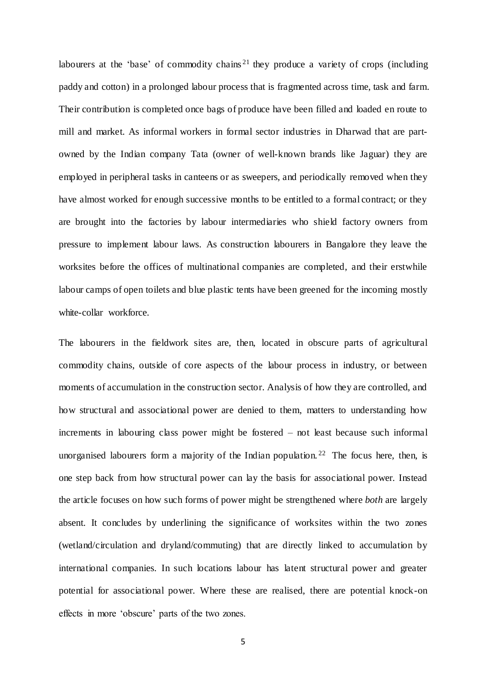labourers at the 'base' of commodity chains<sup>21</sup> they produce a variety of crops (including paddy and cotton) in a prolonged labour process that is fragmented across time, task and farm. Their contribution is completed once bags of produce have been filled and loaded en route to mill and market. As informal workers in formal sector industries in Dharwad that are partowned by the Indian company Tata (owner of well-known brands like Jaguar) they are employed in peripheral tasks in canteens or as sweepers, and periodically removed when they have almost worked for enough successive months to be entitled to a formal contract; or they are brought into the factories by labour intermediaries who shield factory owners from pressure to implement labour laws. As construction labourers in Bangalore they leave the worksites before the offices of multinational companies are completed, and their erstwhile labour camps of open toilets and blue plastic tents have been greened for the incoming mostly white-collar workforce.

The labourers in the fieldwork sites are, then, located in obscure parts of agricultural commodity chains, outside of core aspects of the labour process in industry, or between moments of accumulation in the construction sector. Analysis of how they are controlled, and how structural and associational power are denied to them, matters to understanding how increments in labouring class power might be fostered – not least because such informal unorganised labourers form a majority of the Indian population.<sup>22</sup> The focus here, then, is one step back from how structural power can lay the basis for associational power. Instead the article focuses on how such forms of power might be strengthened where *both* are largely absent. It concludes by underlining the significance of worksites within the two zones (wetland/circulation and dryland/commuting) that are directly linked to accumulation by international companies. In such locations labour has latent structural power and greater potential for associational power. Where these are realised, there are potential knock-on effects in more 'obscure' parts of the two zones.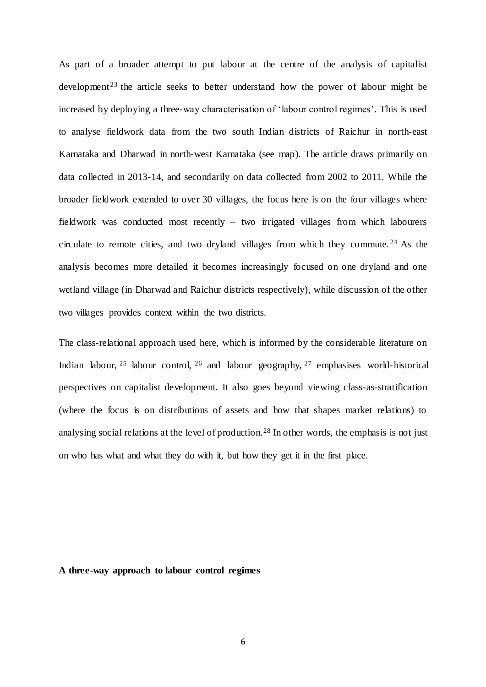As part of a broader attempt to put labour at the centre of the analysis of capitalist development<sup>23</sup> the article seeks to better understand how the power of labour might be increased by deploying a three-way characterisation of 'labour control regimes'. This is used to analyse fieldwork data from the two south Indian districts of Raichur in north-east Karnataka and Dharwad in north-west Karnataka (see map). The article draws primarily on data collected in 2013-14, and secondarily on data collected from 2002 to 2011. While the broader fieldwork extended to over 30 villages, the focus here is on the four villages where fieldwork was conducted most recently – two irrigated villages from which labourers circulate to remote cities, and two dryland villages from which they commute. <sup>24</sup> As the analysis becomes more detailed it becomes increasingly focused on one dryland and one wetland village (in Dharwad and Raichur districts respectively), while discussion of the other two villages provides context within the two districts.

The class-relational approach used here, which is informed by the considerable literature on Indian labour,  $25$  labour control,  $26$  and labour geography,  $27$  emphasises world-historical perspectives on capitalist development. It also goes beyond viewing class-as-stratification (where the focus is on distributions of assets and how that shapes market relations) to analysing social relations at the level of production.<sup>28</sup> In other words, the emphasis is not just on who has what and what they do with it, but how they get it in the first place.

#### **A three-way approach to labour control regimes**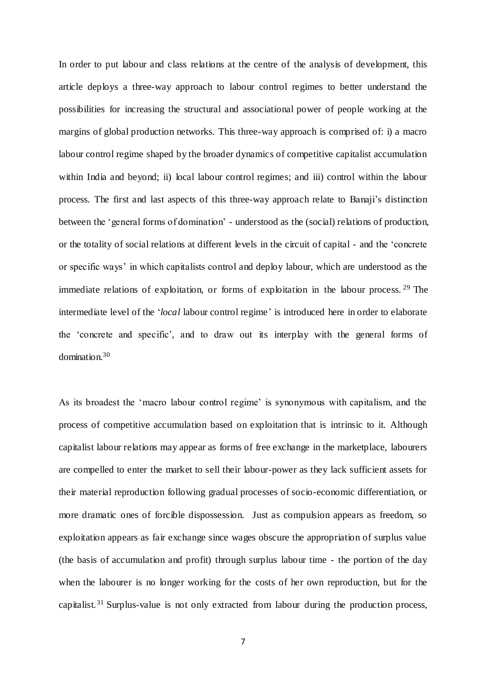In order to put labour and class relations at the centre of the analysis of development, this article deploys a three-way approach to labour control regimes to better understand the possibilities for increasing the structural and associational power of people working at the margins of global production networks. This three-way approach is comprised of: i) a macro labour control regime shaped by the broader dynamics of competitive capitalist accumulation within India and beyond; ii) local labour control regimes; and iii) control within the labour process. The first and last aspects of this three-way approach relate to Banaji's distinction between the 'general forms of domination' - understood as the (social) relations of production, or the totality of social relations at different levels in the circuit of capital - and the 'concrete or specific ways' in which capitalists control and deploy labour, which are understood as the immediate relations of exploitation, or forms of exploitation in the labour process. <sup>29</sup> The intermediate level of the '*local* labour control regime' is introduced here in order to elaborate the 'concrete and specific', and to draw out its interplay with the general forms of domination.<sup>30</sup>

As its broadest the 'macro labour control regime' is synonymous with capitalism, and the process of competitive accumulation based on exploitation that is intrinsic to it. Although capitalist labour relations may appear as forms of free exchange in the marketplace, labourers are compelled to enter the market to sell their labour-power as they lack sufficient assets for their material reproduction following gradual processes of socio-economic differentiation, or more dramatic ones of forcible dispossession. Just as compulsion appears as freedom, so exploitation appears as fair exchange since wages obscure the appropriation of surplus value (the basis of accumulation and profit) through surplus labour time - the portion of the day when the labourer is no longer working for the costs of her own reproduction, but for the capitalist.<sup>31</sup> Surplus-value is not only extracted from labour during the production process,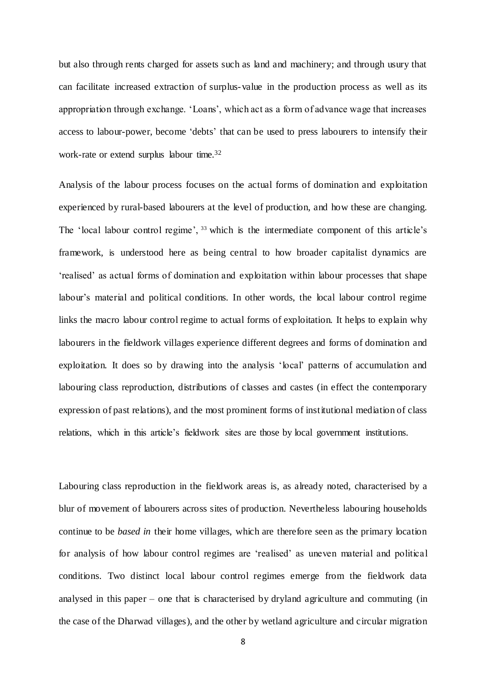but also through rents charged for assets such as land and machinery; and through usury that can facilitate increased extraction of surplus-value in the production process as well as its appropriation through exchange. 'Loans', which act as a form of advance wage that increases access to labour-power, become 'debts' that can be used to press labourers to intensify their work-rate or extend surplus labour time.<sup>32</sup>

Analysis of the labour process focuses on the actual forms of domination and exploitation experienced by rural-based labourers at the level of production, and how these are changing. The 'local labour control regime', <sup>33</sup> which is the intermediate component of this article's framework, is understood here as being central to how broader capitalist dynamics are 'realised' as actual forms of domination and exploitation within labour processes that shape labour's material and political conditions. In other words, the local labour control regime links the macro labour control regime to actual forms of exploitation. It helps to explain why labourers in the fieldwork villages experience different degrees and forms of domination and exploitation. It does so by drawing into the analysis 'local' patterns of accumulation and labouring class reproduction, distributions of classes and castes (in effect the contemporary expression of past relations), and the most prominent forms of institutional mediation of class relations, which in this article's fieldwork sites are those by local government institutions.

Labouring class reproduction in the fieldwork areas is, as already noted, characterised by a blur of movement of labourers across sites of production. Nevertheless labouring households continue to be *based in* their home villages, which are therefore seen as the primary location for analysis of how labour control regimes are 'realised' as uneven material and political conditions. Two distinct local labour control regimes emerge from the fieldwork data analysed in this paper – one that is characterised by dryland agriculture and commuting (in the case of the Dharwad villages), and the other by wetland agriculture and circular migration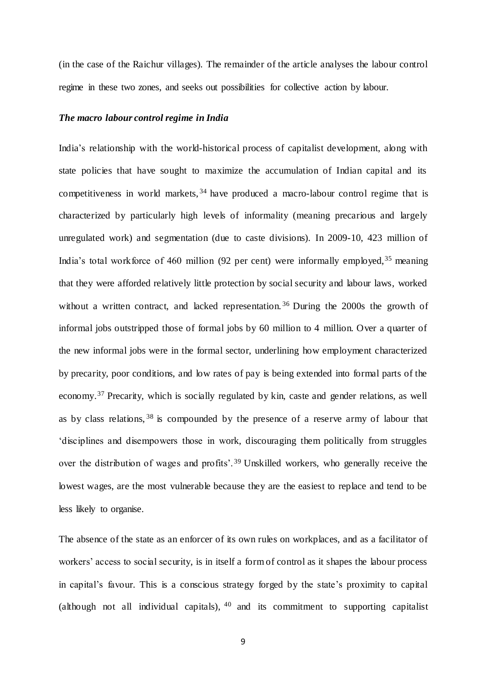(in the case of the Raichur villages). The remainder of the article analyses the labour control regime in these two zones, and seeks out possibilities for collective action by labour.

### *The macro labour control regime in India*

India's relationship with the world-historical process of capitalist development, along with state policies that have sought to maximize the accumulation of Indian capital and its competitiveness in world markets, <sup>34</sup> have produced a macro-labour control regime that is characterized by particularly high levels of informality (meaning precarious and largely unregulated work) and segmentation (due to caste divisions). In 2009-10, 423 million of India's total workforce of 460 million (92 per cent) were informally employed,<sup>35</sup> meaning that they were afforded relatively little protection by social security and labour laws, worked without a written contract, and lacked representation.<sup>36</sup> During the 2000s the growth of informal jobs outstripped those of formal jobs by 60 million to 4 million. Over a quarter of the new informal jobs were in the formal sector, underlining how employment characterized by precarity, poor conditions, and low rates of pay is being extended into formal parts of the economy.<sup>37</sup> Precarity, which is socially regulated by kin, caste and gender relations, as well as by class relations, <sup>38</sup> is compounded by the presence of a reserve army of labour that 'disciplines and disempowers those in work, discouraging them politically from struggles over the distribution of wages and profits'. <sup>39</sup> Unskilled workers, who generally receive the lowest wages, are the most vulnerable because they are the easiest to replace and tend to be less likely to organise.

The absence of the state as an enforcer of its own rules on workplaces, and as a facilitator of workers' access to social security, is in itself a form of control as it shapes the labour process in capital's favour. This is a conscious strategy forged by the state's proximity to capital (although not all individual capitals),  $40$  and its commitment to supporting capitalist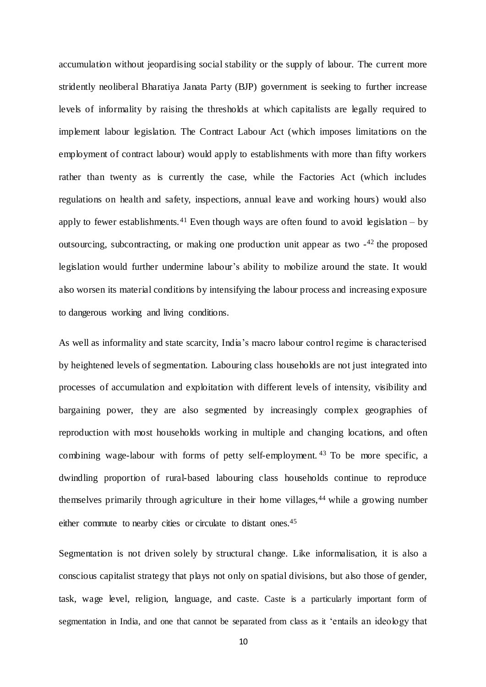accumulation without jeopardising social stability or the supply of labour. The current more stridently neoliberal Bharatiya Janata Party (BJP) government is seeking to further increase levels of informality by raising the thresholds at which capitalists are legally required to implement labour legislation. The Contract Labour Act (which imposes limitations on the employment of contract labour) would apply to establishments with more than fifty workers rather than twenty as is currently the case, while the Factories Act (which includes regulations on health and safety, inspections, annual leave and working hours) would also apply to fewer establishments.<sup>41</sup> Even though ways are often found to avoid legislation – by outsourcing, subcontracting, or making one production unit appear as two - <sup>42</sup> the proposed legislation would further undermine labour's ability to mobilize around the state. It would also worsen its material conditions by intensifying the labour process and increasing exposure to dangerous working and living conditions.

As well as informality and state scarcity, India's macro labour control regime is characterised by heightened levels of segmentation. Labouring class households are not just integrated into processes of accumulation and exploitation with different levels of intensity, visibility and bargaining power, they are also segmented by increasingly complex geographies of reproduction with most households working in multiple and changing locations, and often combining wage-labour with forms of petty self-employment. <sup>43</sup> To be more specific, a dwindling proportion of rural-based labouring class households continue to reproduce themselves primarily through agriculture in their home villages, <sup>44</sup> while a growing number either commute to nearby cities or circulate to distant ones.<sup>45</sup>

Segmentation is not driven solely by structural change. Like informalisation, it is also a conscious capitalist strategy that plays not only on spatial divisions, but also those of gender, task, wage level, religion, language, and caste. Caste is a particularly important form of segmentation in India, and one that cannot be separated from class as it 'entails an ideology that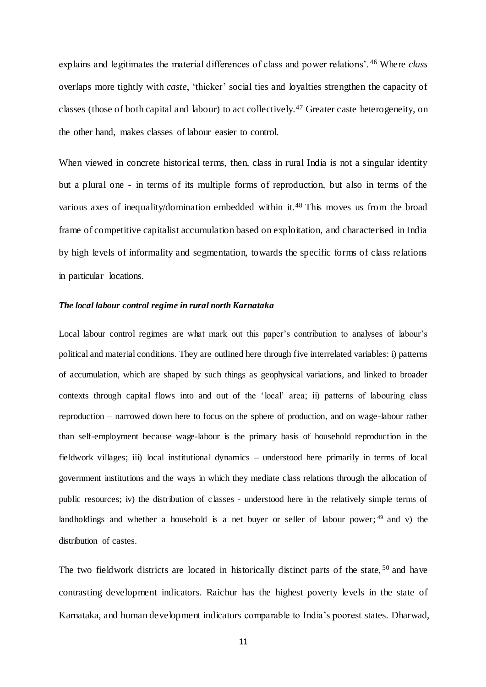explains and legitimates the material differences of class and power relations'. <sup>46</sup> Where *class* overlaps more tightly with *caste*, 'thicker' social ties and loyalties strengthen the capacity of classes (those of both capital and labour) to act collectively. <sup>47</sup> Greater caste heterogeneity, on the other hand, makes classes of labour easier to control.

When viewed in concrete historical terms, then, class in rural India is not a singular identity but a plural one - in terms of its multiple forms of reproduction, but also in terms of the various axes of inequality/domination embedded within it.<sup>48</sup> This moves us from the broad frame of competitive capitalist accumulation based on exploitation, and characterised in India by high levels of informality and segmentation, towards the specific forms of class relations in particular locations.

# *The local labour control regime in rural north Karnataka*

Local labour control regimes are what mark out this paper's contribution to analyses of labour's political and material conditions. They are outlined here through five interrelated variables: i) patterns of accumulation, which are shaped by such things as geophysical variations, and linked to broader contexts through capital flows into and out of the 'local' area; ii) patterns of labouring class reproduction – narrowed down here to focus on the sphere of production, and on wage-labour rather than self-employment because wage-labour is the primary basis of household reproduction in the fieldwork villages; iii) local institutional dynamics – understood here primarily in terms of local government institutions and the ways in which they mediate class relations through the allocation of public resources; iv) the distribution of classes - understood here in the relatively simple terms of landholdings and whether a household is a net buyer or seller of labour power;<sup>49</sup> and v) the distribution of castes.

The two fieldwork districts are located in historically distinct parts of the state, <sup>50</sup> and have contrasting development indicators. Raichur has the highest poverty levels in the state of Karnataka, and human development indicators comparable to India's poorest states. Dharwad,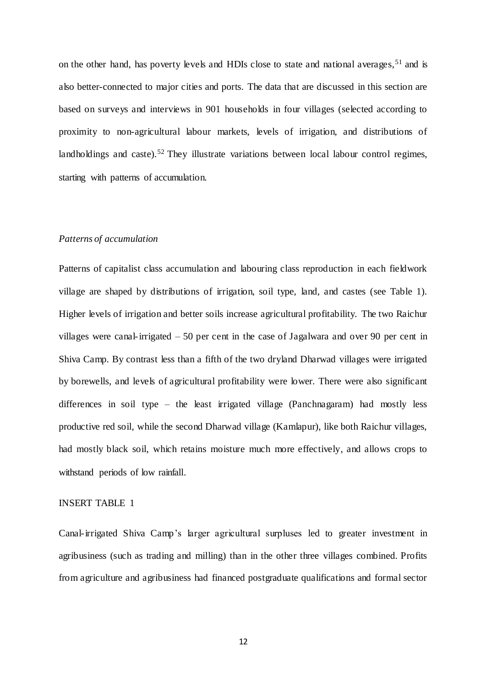on the other hand, has poverty levels and HDIs close to state and national averages, <sup>51</sup> and is also better-connected to major cities and ports. The data that are discussed in this section are based on surveys and interviews in 901 households in four villages (selected according to proximity to non-agricultural labour markets, levels of irrigation, and distributions of landholdings and caste).<sup>52</sup> They illustrate variations between local labour control regimes, starting with patterns of accumulation.

## *Patterns of accumulation*

Patterns of capitalist class accumulation and labouring class reproduction in each fieldwork village are shaped by distributions of irrigation, soil type, land, and castes (see Table 1). Higher levels of irrigation and better soils increase agricultural profitability. The two Raichur villages were canal-irrigated – 50 per cent in the case of Jagalwara and over 90 per cent in Shiva Camp. By contrast less than a fifth of the two dryland Dharwad villages were irrigated by borewells, and levels of agricultural profitability were lower. There were also significant differences in soil type – the least irrigated village (Panchnagaram) had mostly less productive red soil, while the second Dharwad village (Kamlapur), like both Raichur villages, had mostly black soil, which retains moisture much more effectively, and allows crops to withstand periods of low rainfall.

## INSERT TABLE 1

Canal-irrigated Shiva Camp's larger agricultural surpluses led to greater investment in agribusiness (such as trading and milling) than in the other three villages combined. Profits from agriculture and agribusiness had financed postgraduate qualifications and formal sector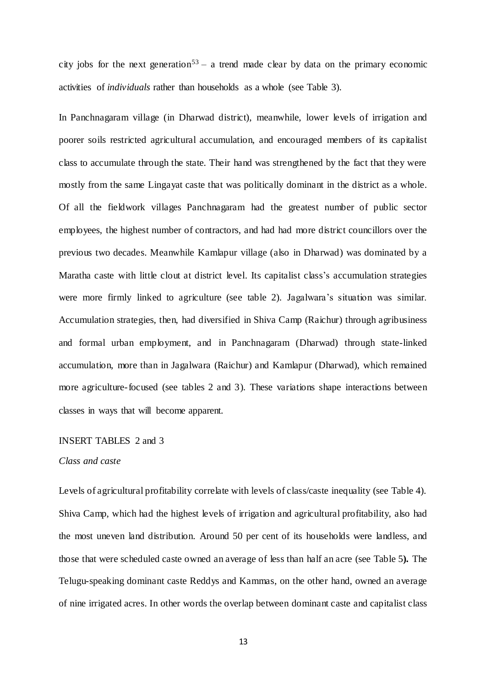city jobs for the next generation<sup>53</sup> – a trend made clear by data on the primary economic activities of *individuals* rather than households as a whole (see Table 3).

In Panchnagaram village (in Dharwad district), meanwhile, lower levels of irrigation and poorer soils restricted agricultural accumulation, and encouraged members of its capitalist class to accumulate through the state. Their hand was strengthened by the fact that they were mostly from the same Lingayat caste that was politically dominant in the district as a whole. Of all the fieldwork villages Panchnagaram had the greatest number of public sector employees, the highest number of contractors, and had had more district councillors over the previous two decades. Meanwhile Kamlapur village (also in Dharwad) was dominated by a Maratha caste with little clout at district level. Its capitalist class's accumulation strategies were more firmly linked to agriculture (see table 2). Jagalwara's situation was similar. Accumulation strategies, then, had diversified in Shiva Camp (Raichur) through agribusiness and formal urban employment, and in Panchnagaram (Dharwad) through state-linked accumulation, more than in Jagalwara (Raichur) and Kamlapur (Dharwad), which remained more agriculture-focused (see tables 2 and 3). These variations shape interactions between classes in ways that will become apparent.

#### INSERT TABLES 2 and 3

## *Class and caste*

Levels of agricultural profitability correlate with levels of class/caste inequality (see Table 4). Shiva Camp, which had the highest levels of irrigation and agricultural profitability, also had the most uneven land distribution. Around 50 per cent of its households were landless, and those that were scheduled caste owned an average of less than half an acre (see Table 5**).** The Telugu-speaking dominant caste Reddys and Kammas, on the other hand, owned an average of nine irrigated acres. In other words the overlap between dominant caste and capitalist class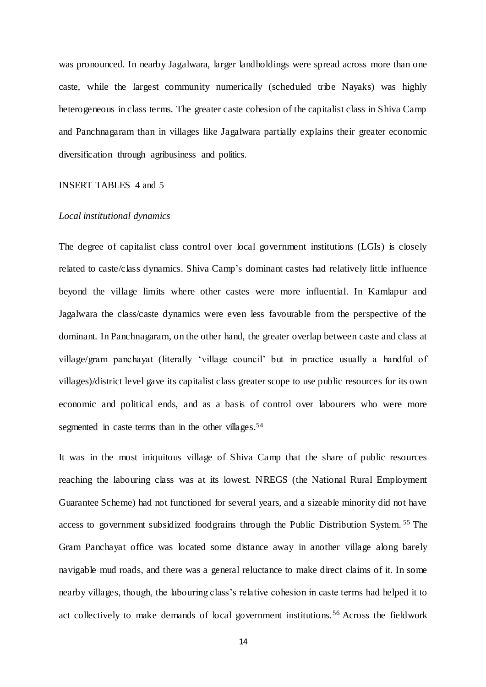was pronounced. In nearby Jagalwara, larger landholdings were spread across more than one caste, while the largest community numerically (scheduled tribe Nayaks) was highly heterogeneous in class terms. The greater caste cohesion of the capitalist class in Shiva Camp and Panchnagaram than in villages like Jagalwara partially explains their greater economic diversification through agribusiness and politics.

# INSERT TABLES 4 and 5

# *Local institutional dynamics*

The degree of capitalist class control over local government institutions (LGIs) is closely related to caste/class dynamics. Shiva Camp's dominant castes had relatively little influence beyond the village limits where other castes were more influential. In Kamlapur and Jagalwara the class/caste dynamics were even less favourable from the perspective of the dominant. In Panchnagaram, on the other hand, the greater overlap between caste and class at village/gram panchayat (literally 'village council' but in practice usually a handful of villages)/district level gave its capitalist class greater scope to use public resources for its own economic and political ends, and as a basis of control over labourers who were more segmented in caste terms than in the other villages.<sup>54</sup>

It was in the most iniquitous village of Shiva Camp that the share of public resources reaching the labouring class was at its lowest. NREGS (the National Rural Employment Guarantee Scheme) had not functioned for several years, and a sizeable minority did not have access to government subsidized foodgrains through the Public Distribution System. <sup>55</sup> The Gram Panchayat office was located some distance away in another village along barely navigable mud roads, and there was a general reluctance to make direct claims of it. In some nearby villages, though, the labouring class's relative cohesion in caste terms had helped it to act collectively to make demands of local government institutions. <sup>56</sup> Across the fieldwork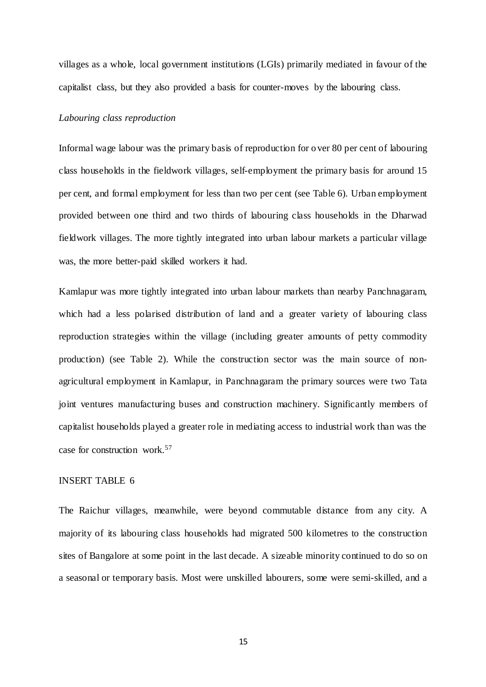villages as a whole, local government institutions (LGIs) primarily mediated in favour of the capitalist class, but they also provided a basis for counter-moves by the labouring class.

# *Labouring class reproduction*

Informal wage labour was the primary basis of reproduction for over 80 per cent of labouring class households in the fieldwork villages, self-employment the primary basis for around 15 per cent, and formal employment for less than two per cent (see Table 6). Urban employment provided between one third and two thirds of labouring class households in the Dharwad fieldwork villages. The more tightly integrated into urban labour markets a particular village was, the more better-paid skilled workers it had.

Kamlapur was more tightly integrated into urban labour markets than nearby Panchnagaram, which had a less polarised distribution of land and a greater variety of labouring class reproduction strategies within the village (including greater amounts of petty commodity production) (see Table 2). While the construction sector was the main source of nonagricultural employment in Kamlapur, in Panchnagaram the primary sources were two Tata joint ventures manufacturing buses and construction machinery. Significantly members of capitalist households played a greater role in mediating access to industrial work than was the case for construction work.<sup>57</sup>

# INSERT TABLE 6

The Raichur villages, meanwhile, were beyond commutable distance from any city. A majority of its labouring class households had migrated 500 kilometres to the construction sites of Bangalore at some point in the last decade. A sizeable minority continued to do so on a seasonal or temporary basis. Most were unskilled labourers, some were semi-skilled, and a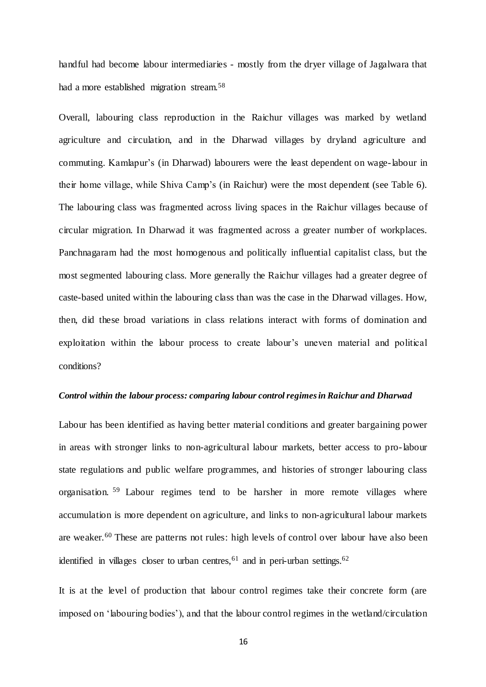handful had become labour intermediaries - mostly from the dryer village of Jagalwara that had a more established migration stream.<sup>58</sup>

Overall, labouring class reproduction in the Raichur villages was marked by wetland agriculture and circulation, and in the Dharwad villages by dryland agriculture and commuting. Kamlapur's (in Dharwad) labourers were the least dependent on wage-labour in their home village, while Shiva Camp's (in Raichur) were the most dependent (see Table 6). The labouring class was fragmented across living spaces in the Raichur villages because of circular migration. In Dharwad it was fragmented across a greater number of workplaces. Panchnagaram had the most homogenous and politically influential capitalist class, but the most segmented labouring class. More generally the Raichur villages had a greater degree of caste-based united within the labouring class than was the case in the Dharwad villages. How, then, did these broad variations in class relations interact with forms of domination and exploitation within the labour process to create labour's uneven material and political conditions?

#### *Control within the labour process: comparing labour control regimes in Raichur and Dharwad*

Labour has been identified as having better material conditions and greater bargaining power in areas with stronger links to non-agricultural labour markets, better access to pro-labour state regulations and public welfare programmes, and histories of stronger labouring class organisation. <sup>59</sup> Labour regimes tend to be harsher in more remote villages where accumulation is more dependent on agriculture, and links to non-agricultural labour markets are weaker.<sup>60</sup> These are patterns not rules: high levels of control over labour have also been identified in villages closer to urban centres,  $61$  and in peri-urban settings.  $62$ 

It is at the level of production that labour control regimes take their concrete form (are imposed on 'labouring bodies'), and that the labour control regimes in the wetland/circulation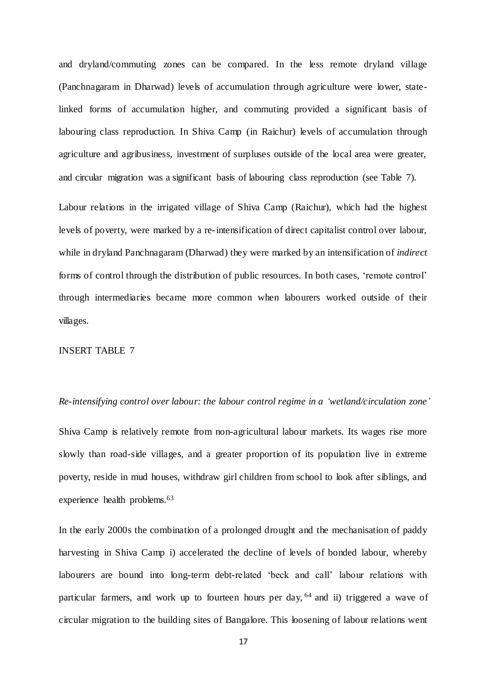and dryland/commuting zones can be compared. In the less remote dryland village (Panchnagaram in Dharwad) levels of accumulation through agriculture were lower, statelinked forms of accumulation higher, and commuting provided a significant basis of labouring class reproduction. In Shiva Camp (in Raichur) levels of accumulation through agriculture and agribusiness, investment of surpluses outside of the local area were greater, and circular migration was a significant basis of labouring class reproduction (see Table 7).

Labour relations in the irrigated village of Shiva Camp (Raichur), which had the highest levels of poverty, were marked by a re-intensification of direct capitalist control over labour, while in dryland Panchnagaram (Dharwad) they were marked by an intensification of *indirect*  forms of control through the distribution of public resources. In both cases, 'remote control' through intermediaries became more common when labourers worked outside of their villages.

## INSERT TABLE 7

## *Re-intensifying control over labour: the labour control regime in a 'wetland/circulation zone'*

Shiva Camp is relatively remote from non-agricultural labour markets. Its wages rise more slowly than road-side villages, and a greater proportion of its population live in extreme poverty, reside in mud houses, withdraw girl children from school to look after siblings, and experience health problems.<sup>63</sup>

In the early 2000s the combination of a prolonged drought and the mechanisation of paddy harvesting in Shiva Camp i) accelerated the decline of levels of bonded labour, whereby labourers are bound into long-term debt-related 'beck and call' labour relations with particular farmers, and work up to fourteen hours per day, <sup>64</sup> and ii) triggered a wave of circular migration to the building sites of Bangalore. This loosening of labour relations went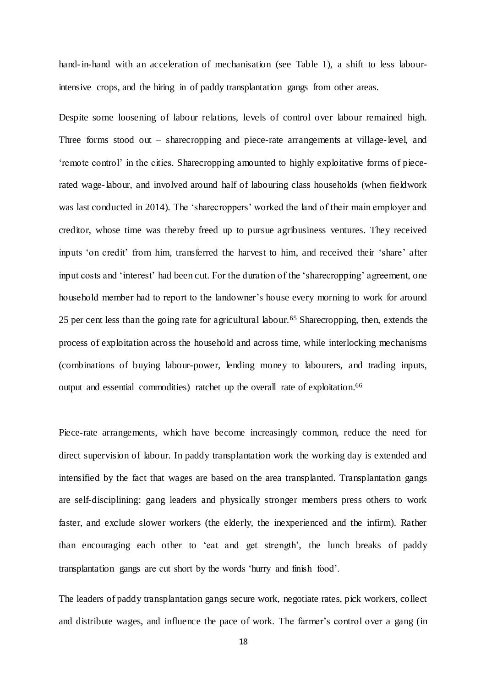hand-in-hand with an acceleration of mechanisation (see Table 1), a shift to less labourintensive crops, and the hiring in of paddy transplantation gangs from other areas.

Despite some loosening of labour relations, levels of control over labour remained high. Three forms stood out – sharecropping and piece-rate arrangements at village-level, and 'remote control' in the cities. Sharecropping amounted to highly exploitative forms of piecerated wage-labour, and involved around half of labouring class households (when fieldwork was last conducted in 2014). The 'sharecroppers' worked the land of their main employer and creditor, whose time was thereby freed up to pursue agribusiness ventures. They received inputs 'on credit' from him, transferred the harvest to him, and received their 'share' after input costs and 'interest' had been cut. For the duration of the 'sharecropping' agreement, one household member had to report to the landowner's house every morning to work for around 25 per cent less than the going rate for agricultural labour. <sup>65</sup> Sharecropping, then, extends the process of exploitation across the household and across time, while interlocking mechanisms (combinations of buying labour-power, lending money to labourers, and trading inputs, output and essential commodities) ratchet up the overall rate of exploitation.<sup>66</sup>

Piece-rate arrangements, which have become increasingly common, reduce the need for direct supervision of labour. In paddy transplantation work the working day is extended and intensified by the fact that wages are based on the area transplanted. Transplantation gangs are self-disciplining: gang leaders and physically stronger members press others to work faster, and exclude slower workers (the elderly, the inexperienced and the infirm). Rather than encouraging each other to 'eat and get strength', the lunch breaks of paddy transplantation gangs are cut short by the words 'hurry and finish food'.

The leaders of paddy transplantation gangs secure work, negotiate rates, pick workers, collect and distribute wages, and influence the pace of work. The farmer's control over a gang (in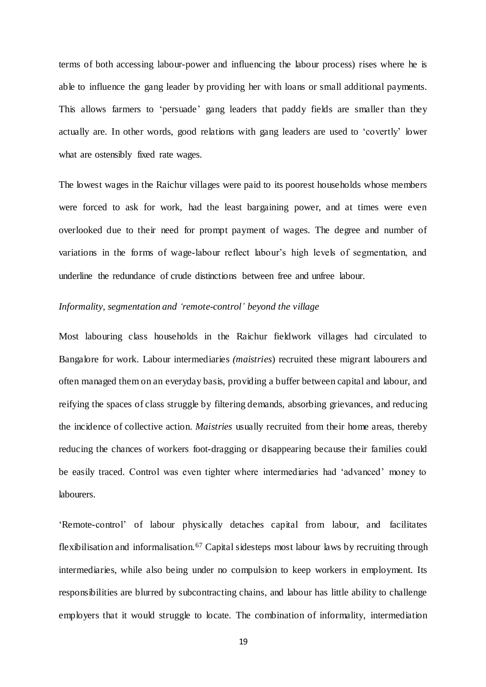terms of both accessing labour-power and influencing the labour process) rises where he is able to influence the gang leader by providing her with loans or small additional payments. This allows farmers to 'persuade' gang leaders that paddy fields are smaller than they actually are. In other words, good relations with gang leaders are used to 'covertly' lower what are ostensibly fixed rate wages.

The lowest wages in the Raichur villages were paid to its poorest households whose members were forced to ask for work, had the least bargaining power, and at times were even overlooked due to their need for prompt payment of wages. The degree and number of variations in the forms of wage-labour reflect labour's high levels of segmentation, and underline the redundance of crude distinctions between free and unfree labour.

# *Informality, segmentation and 'remote-control' beyond the village*

Most labouring class households in the Raichur fieldwork villages had circulated to Bangalore for work. Labour intermediaries *(maistries*) recruited these migrant labourers and often managed them on an everyday basis, providing a buffer between capital and labour, and reifying the spaces of class struggle by filtering demands, absorbing grievances, and reducing the incidence of collective action. *Maistries* usually recruited from their home areas, thereby reducing the chances of workers foot-dragging or disappearing because their families could be easily traced. Control was even tighter where intermediaries had 'advanced' money to labourers.

'Remote-control' of labour physically detaches capital from labour, and facilitates flexibilisation and informalisation.<sup>67</sup> Capital sidesteps most labour laws by recruiting through intermediaries, while also being under no compulsion to keep workers in employment. Its responsibilities are blurred by subcontracting chains, and labour has little ability to challenge employers that it would struggle to locate. The combination of informality, intermediation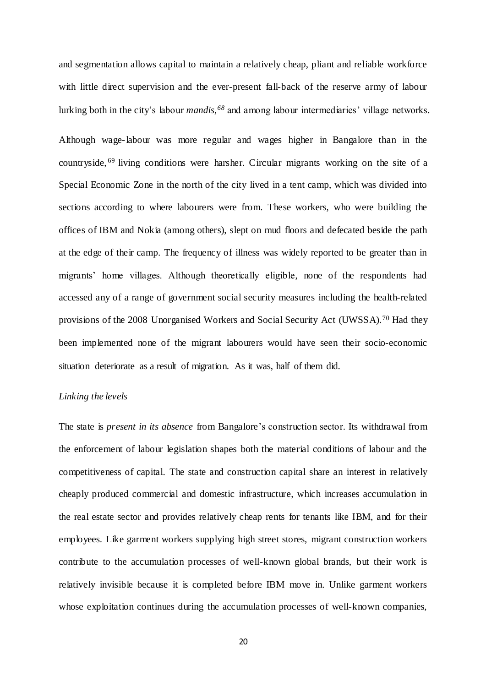and segmentation allows capital to maintain a relatively cheap, pliant and reliable workforce with little direct supervision and the ever-present fall-back of the reserve army of labour lurking both in the city's labour *mandis, <sup>68</sup>* and among labour intermediaries' village networks.

Although wage-labour was more regular and wages higher in Bangalore than in the countryside, <sup>69</sup> living conditions were harsher. Circular migrants working on the site of a Special Economic Zone in the north of the city lived in a tent camp, which was divided into sections according to where labourers were from. These workers, who were building the offices of IBM and Nokia (among others), slept on mud floors and defecated beside the path at the edge of their camp. The frequency of illness was widely reported to be greater than in migrants' home villages. Although theoretically eligible, none of the respondents had accessed any of a range of government social security measures including the health-related provisions of the 2008 Unorganised Workers and Social Security Act (UWSSA). <sup>70</sup> Had they been implemented none of the migrant labourers would have seen their socio-economic situation deteriorate as a result of migration. As it was, half of them did.

#### *Linking the levels*

The state is *present in its absence* from Bangalore's construction sector. Its withdrawal from the enforcement of labour legislation shapes both the material conditions of labour and the competitiveness of capital. The state and construction capital share an interest in relatively cheaply produced commercial and domestic infrastructure, which increases accumulation in the real estate sector and provides relatively cheap rents for tenants like IBM, and for their employees. Like garment workers supplying high street stores, migrant construction workers contribute to the accumulation processes of well-known global brands, but their work is relatively invisible because it is completed before IBM move in. Unlike garment workers whose exploitation continues during the accumulation processes of well-known companies,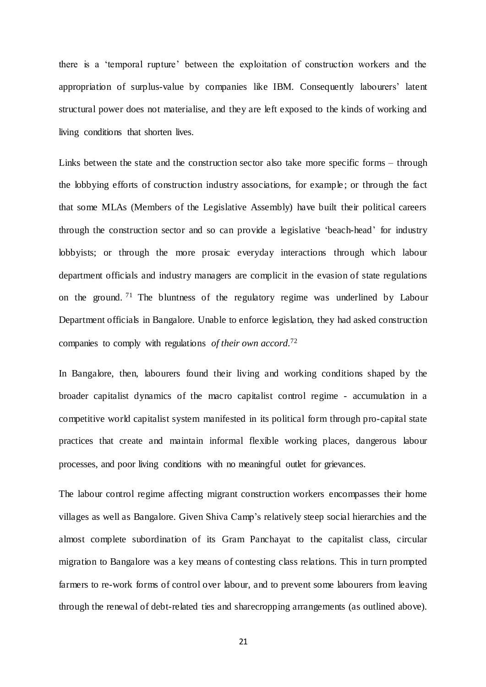there is a 'temporal rupture' between the exploitation of construction workers and the appropriation of surplus-value by companies like IBM. Consequently labourers' latent structural power does not materialise, and they are left exposed to the kinds of working and living conditions that shorten lives.

Links between the state and the construction sector also take more specific forms – through the lobbying efforts of construction industry associations, for example ; or through the fact that some MLAs (Members of the Legislative Assembly) have built their political careers through the construction sector and so can provide a legislative 'beach-head' for industry lobbyists; or through the more prosaic everyday interactions through which labour department officials and industry managers are complicit in the evasion of state regulations on the ground. <sup>71</sup> The bluntness of the regulatory regime was underlined by Labour Department officials in Bangalore. Unable to enforce legislation, they had asked construction companies to comply with regulations *of their own accord.* 72

In Bangalore, then, labourers found their living and working conditions shaped by the broader capitalist dynamics of the macro capitalist control regime - accumulation in a competitive world capitalist system manifested in its political form through pro-capital state practices that create and maintain informal flexible working places, dangerous labour processes, and poor living conditions with no meaningful outlet for grievances.

The labour control regime affecting migrant construction workers encompasses their home villages as well as Bangalore. Given Shiva Camp's relatively steep social hierarchies and the almost complete subordination of its Gram Panchayat to the capitalist class, circular migration to Bangalore was a key means of contesting class relations. This in turn prompted farmers to re-work forms of control over labour, and to prevent some labourers from leaving through the renewal of debt-related ties and sharecropping arrangements (as outlined above).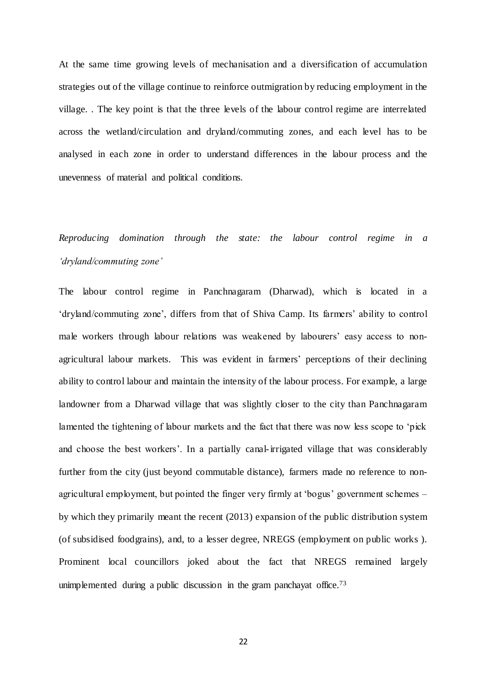At the same time growing levels of mechanisation and a diversification of accumulation strategies out of the village continue to reinforce outmigration by reducing employment in the village. . The key point is that the three levels of the labour control regime are interrelated across the wetland/circulation and dryland/commuting zones, and each level has to be analysed in each zone in order to understand differences in the labour process and the unevenness of material and political conditions.

# *Reproducing domination through the state: the labour control regime in a 'dryland/commuting zone'*

The labour control regime in Panchnagaram (Dharwad), which is located in a 'dryland/commuting zone', differs from that of Shiva Camp. Its farmers' ability to control male workers through labour relations was weakened by labourers' easy access to nonagricultural labour markets. This was evident in farmers' perceptions of their declining ability to control labour and maintain the intensity of the labour process. For example, a large landowner from a Dharwad village that was slightly closer to the city than Panchnagaram lamented the tightening of labour markets and the fact that there was now less scope to 'pick and choose the best workers'. In a partially canal-irrigated village that was considerably further from the city (just beyond commutable distance), farmers made no reference to nonagricultural employment, but pointed the finger very firmly at 'bogus' government schemes – by which they primarily meant the recent (2013) expansion of the public distribution system (of subsidised foodgrains), and, to a lesser degree, NREGS (employment on public works ). Prominent local councillors joked about the fact that NREGS remained largely unimplemented during a public discussion in the gram panchayat office.<sup>73</sup>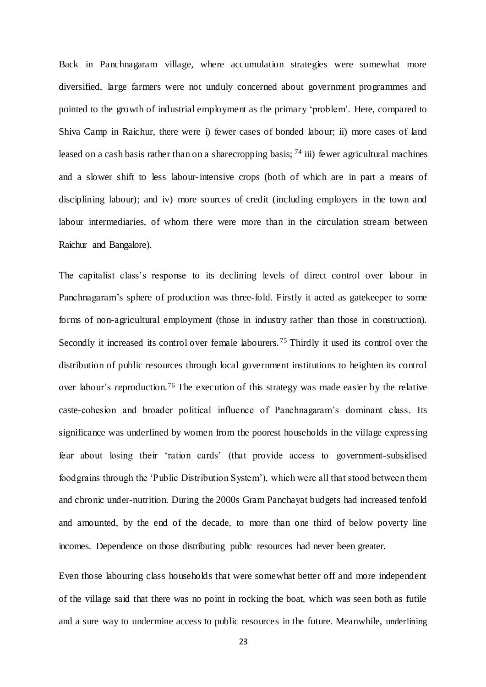Back in Panchnagaram village, where accumulation strategies were somewhat more diversified, large farmers were not unduly concerned about government programmes and pointed to the growth of industrial employment as the primary 'problem'. Here, compared to Shiva Camp in Raichur, there were i) fewer cases of bonded labour; ii) more cases of land leased on a cash basis rather than on a sharecropping basis; <sup>74</sup> iii) fewer agricultural machines and a slower shift to less labour-intensive crops (both of which are in part a means of disciplining labour); and iv) more sources of credit (including employers in the town and labour intermediaries, of whom there were more than in the circulation stream between Raichur and Bangalore).

The capitalist class's response to its declining levels of direct control over labour in Panchnagaram's sphere of production was three-fold. Firstly it acted as gatekeeper to some forms of non-agricultural employment (those in industry rather than those in construction). Secondly it increased its control over female labourers.<sup>75</sup> Thirdly it used its control over the distribution of public resources through local government institutions to heighten its control over labour's *reproduction.*<sup>76</sup> The execution of this strategy was made easier by the relative caste-cohesion and broader political influence of Panchnagaram's dominant class. Its significance was underlined by women from the poorest households in the village expressing fear about losing their 'ration cards' (that provide access to government-subsidised foodgrains through the 'Public Distribution System'), which were all that stood between them and chronic under-nutrition. During the 2000s Gram Panchayat budgets had increased tenfold and amounted, by the end of the decade, to more than one third of below poverty line incomes. Dependence on those distributing public resources had never been greater.

Even those labouring class households that were somewhat better off and more independent of the village said that there was no point in rocking the boat, which was seen both as futile and a sure way to undermine access to public resources in the future. Meanwhile, underlining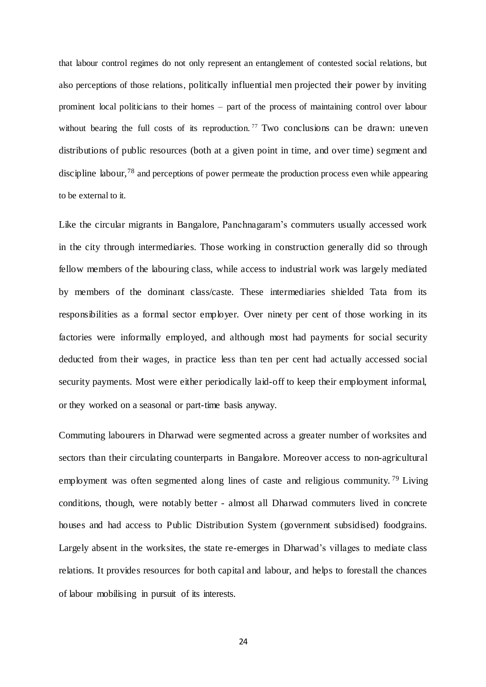that labour control regimes do not only represent an entanglement of contested social relations, but also perceptions of those relations, politically influential men projected their power by inviting prominent local politicians to their homes – part of the process of maintaining control over labour without bearing the full costs of its reproduction.<sup>77</sup> Two conclusions can be drawn: uneven distributions of public resources (both at a given point in time, and over time) segment and discipline labour,<sup>78</sup> and perceptions of power permeate the production process even while appearing to be external to it.

Like the circular migrants in Bangalore, Panchnagaram's commuters usually accessed work in the city through intermediaries. Those working in construction generally did so through fellow members of the labouring class, while access to industrial work was largely mediated by members of the dominant class/caste. These intermediaries shielded Tata from its responsibilities as a formal sector employer. Over ninety per cent of those working in its factories were informally employed, and although most had payments for social security deducted from their wages, in practice less than ten per cent had actually accessed social security payments. Most were either periodically laid-off to keep their employment informal, or they worked on a seasonal or part-time basis anyway.

Commuting labourers in Dharwad were segmented across a greater number of worksites and sectors than their circulating counterparts in Bangalore. Moreover access to non-agricultural employment was often segmented along lines of caste and religious community. <sup>79</sup> Living conditions, though, were notably better - almost all Dharwad commuters lived in concrete houses and had access to Public Distribution System (government subsidised) foodgrains. Largely absent in the worksites, the state re-emerges in Dharwad's villages to mediate class relations. It provides resources for both capital and labour, and helps to forestall the chances of labour mobilising in pursuit of its interests.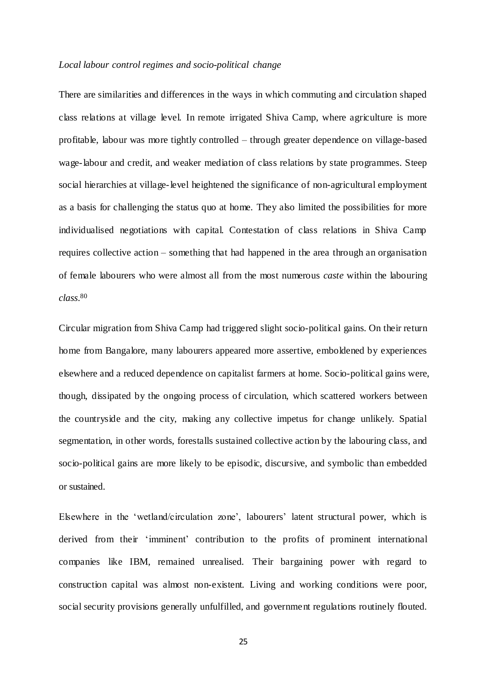## *Local labour control regimes and socio-political change*

There are similarities and differences in the ways in which commuting and circulation shaped class relations at village level. In remote irrigated Shiva Camp, where agriculture is more profitable, labour was more tightly controlled – through greater dependence on village-based wage-labour and credit, and weaker mediation of class relations by state programmes. Steep social hierarchies at village-level heightened the significance of non-agricultural employment as a basis for challenging the status quo at home. They also limited the possibilities for more individualised negotiations with capital. Contestation of class relations in Shiva Camp requires collective action – something that had happened in the area through an organisation of female labourers who were almost all from the most numerous *caste* within the labouring *class*. 80

Circular migration from Shiva Camp had triggered slight socio-political gains. On their return home from Bangalore, many labourers appeared more assertive, emboldened by experiences elsewhere and a reduced dependence on capitalist farmers at home. Socio-political gains were, though, dissipated by the ongoing process of circulation, which scattered workers between the countryside and the city, making any collective impetus for change unlikely. Spatial segmentation, in other words, forestalls sustained collective action by the labouring class, and socio-political gains are more likely to be episodic, discursive, and symbolic than embedded or sustained.

Elsewhere in the 'wetland/circulation zone', labourers' latent structural power, which is derived from their 'imminent' contribution to the profits of prominent international companies like IBM, remained unrealised. Their bargaining power with regard to construction capital was almost non-existent. Living and working conditions were poor, social security provisions generally unfulfilled, and government regulations routinely flouted.

25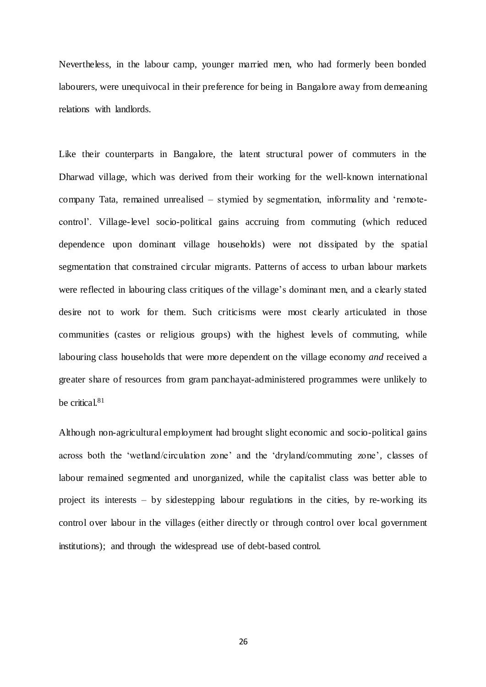Nevertheless, in the labour camp, younger married men, who had formerly been bonded labourers, were unequivocal in their preference for being in Bangalore away from demeaning relations with landlords.

Like their counterparts in Bangalore, the latent structural power of commuters in the Dharwad village, which was derived from their working for the well-known international company Tata, remained unrealised – stymied by segmentation, informality and 'remotecontrol'. Village-level socio-political gains accruing from commuting (which reduced dependence upon dominant village households) were not dissipated by the spatial segmentation that constrained circular migrants. Patterns of access to urban labour markets were reflected in labouring class critiques of the village's dominant men, and a clearly stated desire not to work for them. Such criticisms were most clearly articulated in those communities (castes or religious groups) with the highest levels of commuting, while labouring class households that were more dependent on the village economy *and* received a greater share of resources from gram panchayat-administered programmes were unlikely to be critical. 81

Although non-agricultural employment had brought slight economic and socio-political gains across both the 'wetland/circulation zone' and the 'dryland/commuting zone', classes of labour remained segmented and unorganized, while the capitalist class was better able to project its interests – by sidestepping labour regulations in the cities, by re-working its control over labour in the villages (either directly or through control over local government institutions); and through the widespread use of debt-based control.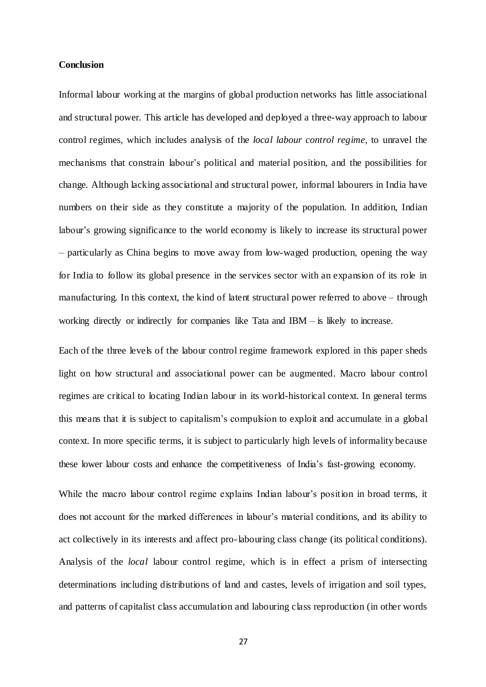## **Conclusion**

Informal labour working at the margins of global production networks has little associational and structural power. This article has developed and deployed a three-way approach to labour control regimes, which includes analysis of the *local labour control regime*, to unravel the mechanisms that constrain labour's political and material position, and the possibilities for change. Although lacking associational and structural power, informal labourers in India have numbers on their side as they constitute a majority of the population. In addition, Indian labour's growing significance to the world economy is likely to increase its structural power – particularly as China begins to move away from low-waged production, opening the way for India to follow its global presence in the services sector with an expansion of its role in manufacturing. In this context, the kind of latent structural power referred to above – through working directly or indirectly for companies like Tata and IBM – is likely to increase.

Each of the three levels of the labour control regime framework explored in this paper sheds light on how structural and associational power can be augmented. Macro labour control regimes are critical to locating Indian labour in its world-historical context. In general terms this means that it is subject to capitalism's compulsion to exploit and accumulate in a global context. In more specific terms, it is subject to particularly high levels of informality because these lower labour costs and enhance the competitiveness of India's fast-growing economy.

While the macro labour control regime explains Indian labour's position in broad terms, it does not account for the marked differences in labour's material conditions, and its ability to act collectively in its interests and affect pro-labouring class change (its political conditions). Analysis of the *local* labour control regime, which is in effect a prism of intersecting determinations including distributions of land and castes, levels of irrigation and soil types, and patterns of capitalist class accumulation and labouring class reproduction (in other words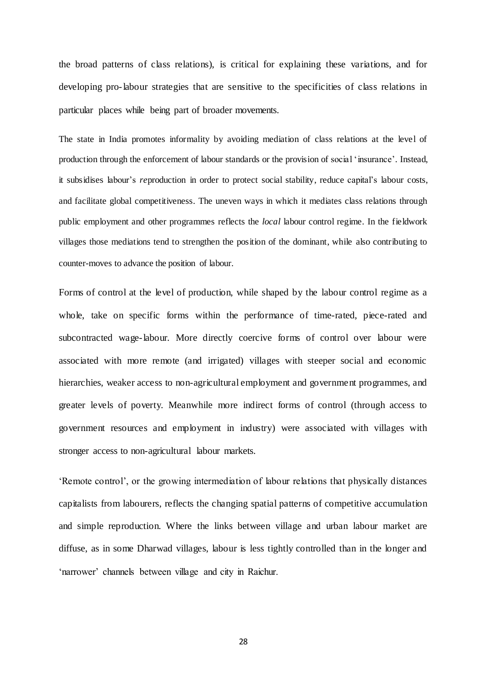the broad patterns of class relations), is critical for explaining these variations, and for developing pro-labour strategies that are sensitive to the specificities of class relations in particular places while being part of broader movements.

The state in India promotes informality by avoiding mediation of class relations at the level of production through the enforcement of labour standards or the provision of social 'insurance'. Instead, it subsidises labour's *re*production in order to protect social stability, reduce capital's labour costs, and facilitate global competitiveness. The uneven ways in which it mediates class relations through public employment and other programmes reflects the *local* labour control regime. In the fieldwork villages those mediations tend to strengthen the position of the dominant, while also contributing to counter-moves to advance the position of labour.

Forms of control at the level of production, while shaped by the labour control regime as a whole, take on specific forms within the performance of time-rated, piece-rated and subcontracted wage-labour. More directly coercive forms of control over labour were associated with more remote (and irrigated) villages with steeper social and economic hierarchies, weaker access to non-agricultural employment and government programmes, and greater levels of poverty. Meanwhile more indirect forms of control (through access to government resources and employment in industry) were associated with villages with stronger access to non-agricultural labour markets.

'Remote control', or the growing intermediation of labour relations that physically distances capitalists from labourers, reflects the changing spatial patterns of competitive accumulation and simple reproduction. Where the links between village and urban labour market are diffuse, as in some Dharwad villages, labour is less tightly controlled than in the longer and 'narrower' channels between village and city in Raichur.

28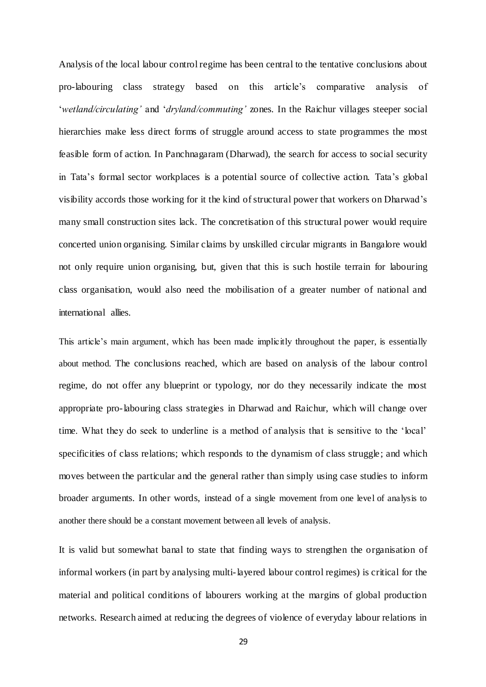Analysis of the local labour control regime has been central to the tentative conclusions about pro-labouring class strategy based on this article's comparative analysis of '*wetland/circulating'* and '*dryland/commuting'* zones. In the Raichur villages steeper social hierarchies make less direct forms of struggle around access to state programmes the most feasible form of action. In Panchnagaram (Dharwad), the search for access to social security in Tata's formal sector workplaces is a potential source of collective action. Tata's global visibility accords those working for it the kind of structural power that workers on Dharwad's many small construction sites lack. The concretisation of this structural power would require concerted union organising. Similar claims by unskilled circular migrants in Bangalore would not only require union organising, but, given that this is such hostile terrain for labouring class organisation, would also need the mobilisation of a greater number of national and international allies.

This article's main argument, which has been made implicitly throughout the paper, is essentially about method. The conclusions reached, which are based on analysis of the labour control regime, do not offer any blueprint or typology, nor do they necessarily indicate the most appropriate pro-labouring class strategies in Dharwad and Raichur, which will change over time. What they do seek to underline is a method of analysis that is sensitive to the 'local' specificities of class relations; which responds to the dynamism of class struggle; and which moves between the particular and the general rather than simply using case studies to inform broader arguments. In other words, instead of a single movement from one level of analysis to another there should be a constant movement between all levels of analysis.

It is valid but somewhat banal to state that finding ways to strengthen the organisation of informal workers (in part by analysing multi-layered labour control regimes) is critical for the material and political conditions of labourers working at the margins of global production networks. Research aimed at reducing the degrees of violence of everyday labour relations in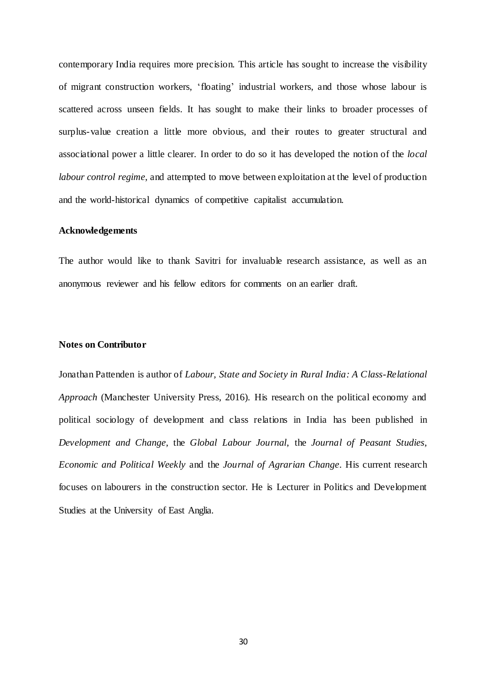contemporary India requires more precision. This article has sought to increase the visibility of migrant construction workers, 'floating' industrial workers, and those whose labour is scattered across unseen fields. It has sought to make their links to broader processes of surplus-value creation a little more obvious, and their routes to greater structural and associational power a little clearer. In order to do so it has developed the notion of the *local labour control regime*, and attempted to move between exploitation at the level of production and the world-historical dynamics of competitive capitalist accumulation.

# **Acknowledgements**

The author would like to thank Savitri for invaluable research assistance, as well as an anonymous reviewer and his fellow editors for comments on an earlier draft.

# **Notes on Contributor**

Jonathan Pattenden is author of *Labour, State and Society in Rural India: A Class-Relational Approach* (Manchester University Press, 2016). His research on the political economy and political sociology of development and class relations in India has been published in *Development and Change*, the *Global Labour Journal*, the *Journal of Peasant Studies*, *Economic and Political Weekly* and the *Journal of Agrarian Change*. His current research focuses on labourers in the construction sector. He is Lecturer in Politics and Development Studies at the University of East Anglia.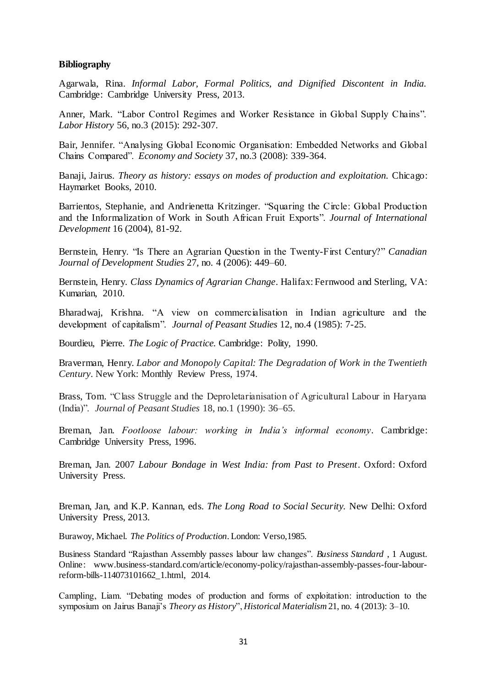# **Bibliography**

Agarwala, Rina. *Informal Labor, Formal Politics, and Dignified Discontent in India.*  Cambridge: Cambridge University Press, 2013.

Anner, Mark. "Labor Control Regimes and Worker Resistance in Global Supply Chains". *Labor History* 56, no.3 (2015): 292-307.

Bair, Jennifer. "Analysing Global Economic Organisation: Embedded Networks and Global Chains Compared". *Economy and Society* 37, no.3 (2008): 339-364.

Banaji, Jairus. *Theory as history: essays on modes of production and exploitation.* Chicago: Haymarket Books, 2010.

Barrientos, Stephanie, and Andrienetta Kritzinger. "Squaring the Circle: Global Production and the Informalization of Work in South African Fruit Exports". *Journal of International Development* 16 (2004), 81-92.

Bernstein, Henry. "Is There an Agrarian Question in the Twenty-First Century?" *Canadian Journal of Development Studies* 27, no. 4 (2006): 449–60.

Bernstein, Henry. *Class Dynamics of Agrarian Change*. Halifax: Fernwood and Sterling, VA: Kumarian, 2010.

Bharadwaj, Krishna. "A view on commercialisation in Indian agriculture and the development of capitalism". *Journal of Peasant Studies* 12, no.4 (1985): 7-25.

Bourdieu, Pierre. *The Logic of Practice.* Cambridge: Polity, 1990.

Braverman, Henry. *Labor and Monopoly Capital: The Degradation of Work in the Twentieth Century*. New York: Monthly Review Press, 1974.

Brass, Tom. "Class Struggle and the Deproletarianisation of Agricultural Labour in Haryana (India)". *Journal of Peasant Studies* 18, no.1 (1990): 36–65.

Breman, Jan. *Footloose labour: working in India's informal economy*. Cambridge: Cambridge University Press, 1996.

Breman, Jan. 2007 *Labour Bondage in West India: from Past to Present*. Oxford: Oxford University Press.

Breman, Jan, and K.P. Kannan, eds. *The Long Road to Social Security.* New Delhi: Oxford University Press, 2013.

Burawoy, Michael. *The Politics of Production.* London: Verso*,*1985.

Business Standard "Rajasthan Assembly passes labour law changes". *Business Standard* , 1 August. Online: www.business-standard.com/article/economy-policy/rajasthan-assembly-passes-four-labourreform-bills-114073101662\_1.html, 2014.

Campling, Liam. "Debating modes of production and forms of exploitation: introduction to the symposium on Jairus Banaji's *Theory as History*", *Historical Materialism* 21, no. 4 (2013): 3–10.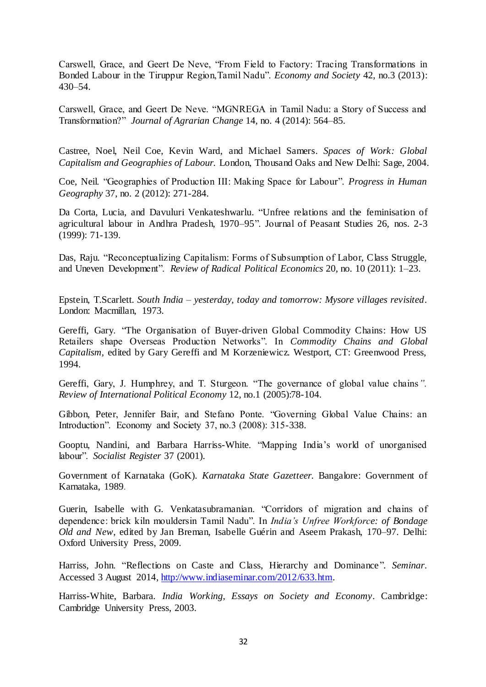Carswell, Grace, and Geert De Neve, "From Field to Factory: Tracing Transformations in Bonded Labour in the Tiruppur Region,Tamil Nadu". *Economy and Society* 42, no.3 (2013): 430–54.

Carswell, Grace, and Geert De Neve. "MGNREGA in Tamil Nadu: a Story of Success and Transformation?" *Journal of Agrarian Change* 14, no. 4 (2014): 564–85.

Castree, Noel, Neil Coe, Kevin Ward, and Michael Samers. *Spaces of Work: Global Capitalism and Geographies of Labour.* London, Thousand Oaks and New Delhi: Sage, 2004*.*

Coe, Neil. "Geographies of Production III: Making Space for Labour". *Progress in Human Geography* 37, no. 2 (2012): 271-284.

Da Corta, Lucia, and Davuluri Venkateshwarlu. "Unfree relations and the feminisation of agricultural labour in Andhra Pradesh, 1970–95". Journal of Peasant Studies 26, nos. 2-3 (1999): 71-139.

Das, Raju. "Reconceptualizing Capitalism: Forms of Subsumption of Labor, Class Struggle, and Uneven Development". *Review of Radical Political Economics* 20, no. 10 (2011): 1–23.

Epstein, T.Scarlett. *South India – yesterday, today and tomorrow: Mysore villages revisited*. London: Macmillan, 1973.

Gereffi, Gary. "The Organisation of Buyer-driven Global Commodity Chains: How US Retailers shape Overseas Production Networks". In *Commodity Chains and Global Capitalism*, edited by Gary Gereffi and M Korzeniewicz. Westport, CT: Greenwood Press, 1994.

Gereffi, Gary, J. Humphrey, and T. Sturgeon. "The governance of global value chains*". Review of International Political Economy* 12, no.1 (2005):78-104.

Gibbon, Peter, Jennifer Bair, and Stefano Ponte. "Governing Global Value Chains: an Introduction". Economy and Society 37, no.3 (2008): 315-338.

Gooptu, Nandini, and Barbara Harriss-White. "Mapping India's world of unorganised labour". *Socialist Register* 37 (2001).

Government of Karnataka (GoK). *Karnataka State Gazetteer.* Bangalore: Government of Karnataka, 1989.

Guerin, Isabelle with G. Venkatasubramanian. "Corridors of migration and chains of dependence: brick kiln mouldersin Tamil Nadu". In *India's Unfree Workforce: of Bondage Old and New*, edited by Jan Breman, Isabelle Guérin and Aseem Prakash, 170–97. Delhi: Oxford University Press, 2009.

Harriss, John. "Reflections on Caste and Class, Hierarchy and Dominance ". *Seminar*. Accessed 3 August 2014, [http://www.indiaseminar.com/2012/633.htm.](http://www.indiaseminar.com/2012/633.htm)

Harriss-White, Barbara. *India Working, Essays on Society and Economy*. Cambridge: Cambridge University Press, 2003.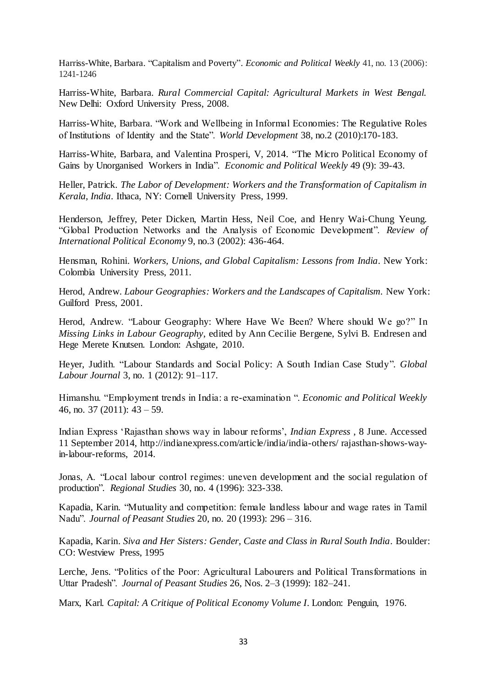Harriss-White, Barbara. "Capitalism and Poverty". *Economic and Political Weekly* 41, no. 13 (2006): 1241-1246

Harriss-White, Barbara. *Rural Commercial Capital: Agricultural Markets in West Bengal.* New Delhi: Oxford University Press, 2008.

Harriss-White, Barbara. "Work and Wellbeing in Informal Economies: The Regulative Roles of Institutions of Identity and the State". *World Development* 38, no.2 (2010):170-183.

Harriss-White, Barbara, and Valentina Prosperi, V, 2014. "The Micro Political Economy of Gains by Unorganised Workers in India". *Economic and Political Weekly* 49 (9): 39-43.

Heller, Patrick. *The Labor of Development: Workers and the Transformation of Capitalism in Kerala, India*. Ithaca, NY: Cornell University Press, 1999.

Henderson, Jeffrey, Peter Dicken, Martin Hess, Neil Coe, and Henry Wai-Chung Yeung. "Global Production Networks and the Analysis of Economic Development". *Review of International Political Economy* 9, no.3 (2002): 436-464.

Hensman, Rohini. *Workers, Unions, and Global Capitalism: Lessons from India*. New York: Colombia University Press, 2011.

Herod, Andrew. *Labour Geographies: Workers and the Landscapes of Capitalism.* New York: Guilford Press, 2001.

Herod, Andrew. "Labour Geography: Where Have We Been? Where should We go?" In *Missing Links in Labour Geography*, edited by Ann Cecilie Bergene, Sylvi B. Endresen and Hege Merete Knutsen. London: Ashgate, 2010.

Heyer, Judith. "Labour Standards and Social Policy: A South Indian Case Study". *Global Labour Journal* 3, no. 1 (2012): 91–117.

Himanshu. "Employment trends in India: a re-examination ". *Economic and Political Weekly*  46, no. 37 (2011): 43 – 59.

Indian Express 'Rajasthan shows way in labour reforms', *Indian Express* , 8 June. Accessed 11 September 2014, http://indianexpress.com/article/india/india-others/ rajasthan-shows-wayin-labour-reforms, 2014.

Jonas, A. "Local labour control regimes: uneven development and the social regulation of production". *Regional Studies* 30, no. 4 (1996): 323-338.

Kapadia, Karin. "Mutuality and competition: female landless labour and wage rates in Tamil Nadu". *Journal of Peasant Studies* 20, no. 20 (1993): 296 – 316.

Kapadia, Karin. *Siva and Her Sisters: Gender, Caste and Class in Rural South India*. Boulder: CO: Westview Press, 1995

Lerche, Jens. "Politics of the Poor: Agricultural Labourers and Political Transformations in Uttar Pradesh". *Journal of Peasant Studies* 26, Nos. 2–3 (1999): 182–241.

Marx, Karl. *Capital: A Critique of Political Economy Volume I*. London: Penguin, 1976.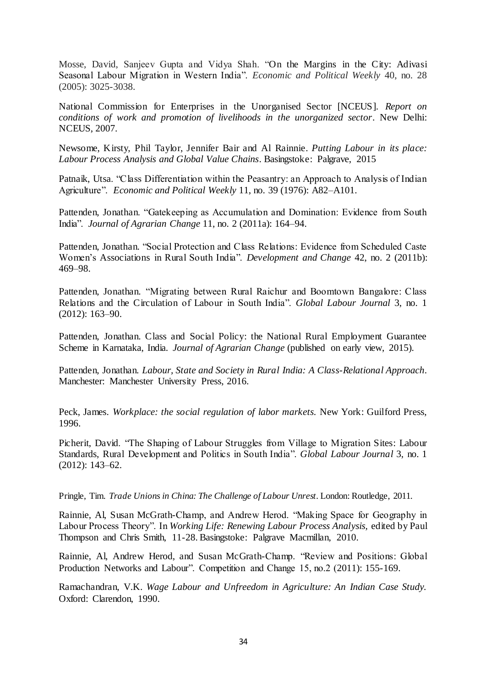Mosse, David, Sanjeev Gupta and Vidya Shah. "On the Margins in the City: Adivasi Seasonal Labour Migration in Western India". *Economic and Political Weekly* 40, no. 28 (2005): 3025-3038.

National Commission for Enterprises in the Unorganised Sector [NCEUS]. *Report on conditions of work and promotion of livelihoods in the unorganized sector*. New Delhi: NCEUS, 2007.

Newsome, Kirsty, Phil Taylor, Jennifer Bair and Al Rainnie. *Putting Labour in its place: Labour Process Analysis and Global Value Chains*. Basingstoke: Palgrave, 2015

Patnaik, Utsa. "Class Differentiation within the Peasantry: an Approach to Analysis of Indian Agriculture". *Economic and Political Weekly* 11, no. 39 (1976): A82–A101.

Pattenden, Jonathan. "Gatekeeping as Accumulation and Domination: Evidence from South India". *Journal of Agrarian Change* 11, no. 2 (2011a): 164–94.

Pattenden, Jonathan. "Social Protection and Class Relations: Evidence from Scheduled Caste Women's Associations in Rural South India". *Development and Change* 42, no. 2 (2011b): 469–98.

Pattenden, Jonathan. "Migrating between Rural Raichur and Boomtown Bangalore: Class Relations and the Circulation of Labour in South India". *Global Labour Journal* 3, no. 1 (2012): 163–90.

Pattenden, Jonathan. Class and Social Policy: the National Rural Employment Guarantee Scheme in Karnataka, India. *Journal of Agrarian Change* (published on early view, 2015).

Pattenden, Jonathan. *Labour, State and Society in Rural India: A Class-Relational Approach*. Manchester: Manchester University Press, 2016.

Peck, James. *Workplace: the social regulation of labor markets.* New York: Guilford Press, 1996.

Picherit, David. "The Shaping of Labour Struggles from Village to Migration Sites: Labour Standards, Rural Development and Politics in South India". *Global Labour Journal* 3, no. 1 (2012): 143–62.

Pringle, Tim. *Trade Unions in China: The Challenge of Labour Unrest*. London: Routledge, 2011.

Rainnie, Al, Susan McGrath-Champ, and Andrew Herod. "Making Space for Geography in Labour Process Theory". In *Working Life: Renewing Labour Process Analysis,* edited by Paul Thompson and Chris Smith, 11-28. Basingstoke: Palgrave Macmillan, 2010.

Rainnie, Al, Andrew Herod, and Susan McGrath-Champ. "Review and Positions: Global Production Networks and Labour". Competition and Change 15, no.2 (2011): 155-169.

Ramachandran, V.K. *Wage Labour and Unfreedom in Agriculture: An Indian Case Study.* Oxford: Clarendon, 1990.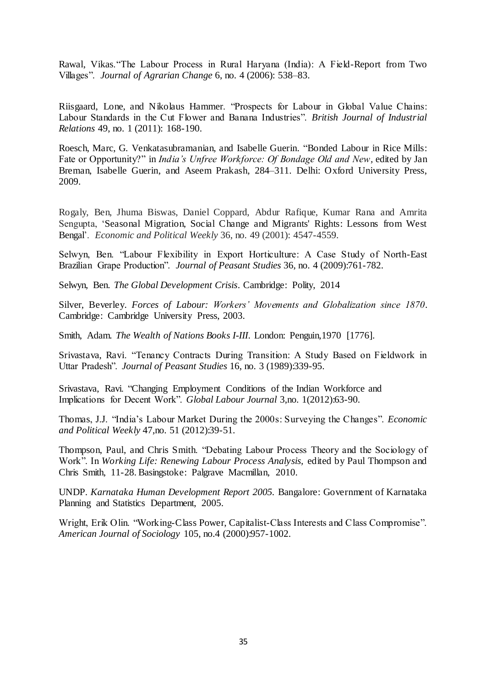Rawal, Vikas."The Labour Process in Rural Haryana (India): A Field-Report from Two Villages". *Journal of Agrarian Change* 6, no. 4 (2006): 538–83.

Riisgaard, Lone, and Nikolaus Hammer. "Prospects for Labour in Global Value Chains: Labour Standards in the Cut Flower and Banana Industries". *British Journal of Industrial Relations* 49, no. 1 (2011): 168-190.

Roesch, Marc, G. Venkatasubramanian, and Isabelle Guerin. "Bonded Labour in Rice Mills: Fate or Opportunity?" in *India's Unfree Workforce: Of Bondage Old and New,* edited by Jan Breman, Isabelle Guerin, and Aseem Prakash, 284–311. Delhi: Oxford University Press, 2009.

Rogaly, Ben, Jhuma Biswas, Daniel Coppard, Abdur Rafique, Kumar Rana and Amrita Sengupta, 'Seasonal Migration, Social Change and Migrants' Rights: Lessons from West Bengal'. *Economic and Political Weekly* 36, no. 49 (2001): 4547-4559.

Selwyn, Ben. "Labour Flexibility in Export Horticulture: A Case Study of North-East Brazilian Grape Production". *Journal of Peasant Studies* 36, no. 4 (2009):761-782.

Selwyn, Ben. *The Global Development Crisis*. Cambridge: Polity, 2014

Silver, Beverley. *Forces of Labour: Workers' Movements and Globalization since 1870*. Cambridge: Cambridge University Press, 2003.

Smith, Adam. *The Wealth of Nations Books I-III*. London: Penguin,1970 [1776].

Srivastava, Ravi. "Tenancy Contracts During Transition: A Study Based on Fieldwork in Uttar Pradesh". *Journal of Peasant Studies* 16, no. 3 (1989):339-95.

Srivastava, Ravi. "Changing Employment Conditions of the Indian Workforce and Implications for Decent Work". *Global Labour Journal* 3,no. 1(2012):63-90.

Thomas, J.J. "India's Labour Market During the 2000s: Surveying the Changes". *Economic and Political Weekly* 47,no. 51 (2012):39-51.

Thompson, Paul, and Chris Smith. "Debating Labour Process Theory and the Sociology of Work". In *Working Life: Renewing Labour Process Analysis,* edited by Paul Thompson and Chris Smith, 11-28. Basingstoke: Palgrave Macmillan, 2010.

UNDP. *Karnataka Human Development Report 2005.* Bangalore: Government of Karnataka Planning and Statistics Department, 2005.

Wright, Erik Olin. "Working-Class Power, Capitalist-Class Interests and Class Compromise". *American Journal of Sociology* 105, no.4 (2000):957-1002.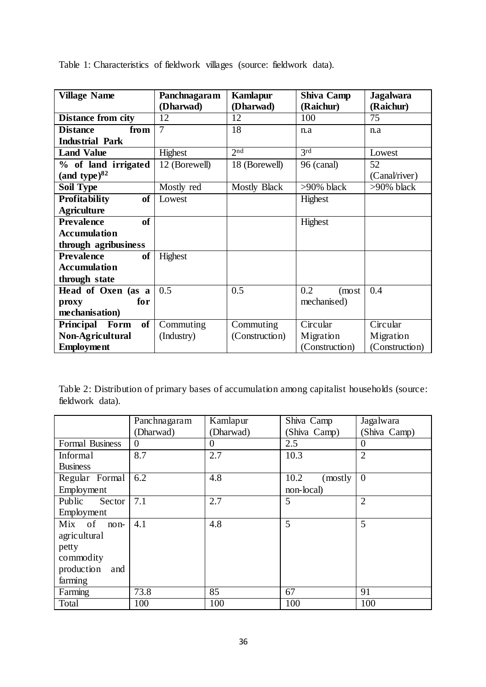| <b>Village Name</b>                   | Panchnagaram  | <b>Kamlapur</b>     | <b>Shiva Camp</b>                | <b>Jagalwara</b> |  |
|---------------------------------------|---------------|---------------------|----------------------------------|------------------|--|
|                                       | (Dharwad)     | (Dharwad)           | (Raichur)                        | (Raichur)        |  |
| <b>Distance from city</b>             | 12            | 12                  | 100                              | 75               |  |
| <b>Distance</b><br>from               | 7             | 18                  | n.a                              | n.a              |  |
| <b>Industrial Park</b>                |               |                     |                                  |                  |  |
| <b>Land Value</b>                     | Highest       | 2nd                 | 3rd                              | Lowest           |  |
| % of land irrigated                   | 12 (Borewell) | 18 (Borewell)       | 96 (canal)                       | 52               |  |
| (and type) $82$                       |               |                     |                                  | (Canal/river)    |  |
| <b>Soil Type</b>                      | Mostly red    | <b>Mostly Black</b> | $>90\%$ black                    | $>90\%$ black    |  |
| <sub>of</sub><br><b>Profitability</b> | Lowest        |                     | Highest                          |                  |  |
| <b>Agriculture</b>                    |               |                     |                                  |                  |  |
| <b>Prevalence</b><br><b>of</b>        |               |                     | Highest                          |                  |  |
| <b>Accumulation</b>                   |               |                     |                                  |                  |  |
| through agribusiness                  |               |                     |                                  |                  |  |
| <b>Prevalence</b><br><sub>of</sub>    | Highest       |                     |                                  |                  |  |
| <b>Accumulation</b>                   |               |                     |                                  |                  |  |
| through state                         |               |                     |                                  |                  |  |
| Head of Oxen (as a                    | 0.5           | 0.5                 | 0.2<br>(most)                    | 0.4              |  |
| for<br>proxy                          |               |                     | mechanised)                      |                  |  |
| mechanisation)                        |               |                     |                                  |                  |  |
| <b>of</b><br>Principal<br>Form        | Commuting     | Commuting           | Circular                         | Circular         |  |
| Non-Agricultural                      | (Industry)    | (Construction)      | Migration<br>Migration           |                  |  |
| <b>Employment</b>                     |               |                     | (Construction)<br>(Construction) |                  |  |

Table 1: Characteristics of fieldwork villages (source: fieldwork data).

Table 2: Distribution of primary bases of accumulation among capitalist households (source: fieldwork data).

|                        | Panchnagaram | Kamlapur  | Shiva Camp       | Jagalwara        |
|------------------------|--------------|-----------|------------------|------------------|
|                        | (Dharwad)    | (Dharwad) | (Shiva Camp)     | (Shiva Camp)     |
| <b>Formal Business</b> | $\theta$     | 0         | 2.5              | 0                |
| Informal               | 8.7          | 2.7       | 10.3             | $\overline{2}$   |
| <b>Business</b>        |              |           |                  |                  |
| Regular Formal         | 6.2          | 4.8       | 10.2<br>(mostly) | $\boldsymbol{0}$ |
| Employment             |              |           | non-local)       |                  |
| Public<br>Sector       | 7.1          | 2.7       | 5                | $\overline{2}$   |
| Employment             |              |           |                  |                  |
| Mix of<br>$non-$       | 4.1          | 4.8       | 5                | 5                |
| agricultural           |              |           |                  |                  |
| petty                  |              |           |                  |                  |
| commodity              |              |           |                  |                  |
| production<br>and      |              |           |                  |                  |
| farming                |              |           |                  |                  |
| Farming                | 73.8         | 85        | 67               | 91               |
| Total                  | 100          | 100       | 100              | 100              |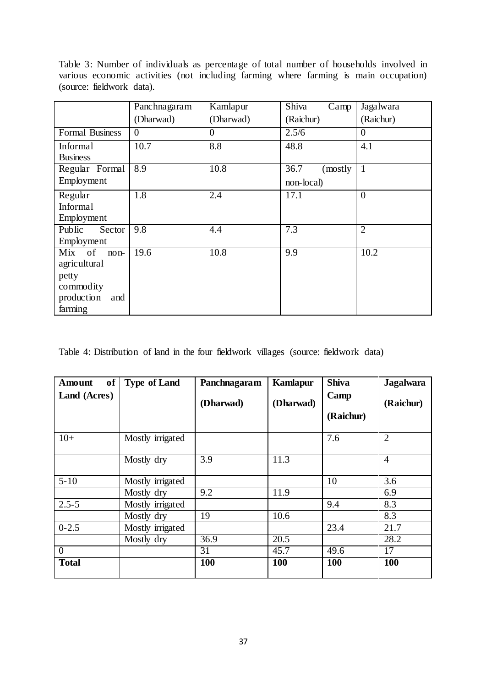Table 3: Number of individuals as percentage of total number of households involved in various economic activities (not including farming where farming is main occupation) (source: fieldwork data).

|                   | Panchnagaram   | Kamlapur          | Shiva<br>Camp    | Jagalwara      |
|-------------------|----------------|-------------------|------------------|----------------|
|                   | (Dharwad)      | (Dharwad)         | (Raichur)        | (Raichur)      |
| Formal Business   | $\overline{0}$ | $\theta$          | 2.5/6            | $\theta$       |
| Informal          | 10.7           | 8.8               | 48.8             | 4.1            |
| <b>Business</b>   |                |                   |                  |                |
| Regular Formal    | 8.9            | $\overline{10.8}$ | 36.7<br>(mostly) | $\mathbf{1}$   |
| Employment        |                |                   | non-local)       |                |
| Regular           | 1.8            | 2.4               | 17.1             | $\overline{0}$ |
| Informal          |                |                   |                  |                |
| Employment        |                |                   |                  |                |
| Public<br>Sector  | 9.8            | 4.4               | 7.3              | $\overline{2}$ |
| Employment        |                |                   |                  |                |
| Mix of<br>$non-$  | 19.6           | 10.8              | 9.9              | 10.2           |
| agricultural      |                |                   |                  |                |
| petty             |                |                   |                  |                |
| commodity         |                |                   |                  |                |
| production<br>and |                |                   |                  |                |
| farming           |                |                   |                  |                |

Table 4: Distribution of land in the four fieldwork villages (source: fieldwork data)

| of<br>Amount   | <b>Type of Land</b> | Panchnagaram | <b>Kamlapur</b> | <b>Shiva</b> | <b>Jagalwara</b> |
|----------------|---------------------|--------------|-----------------|--------------|------------------|
| Land (Acres)   |                     | (Dharwad)    | (Dharwad)       | Camp         | (Raichur)        |
|                |                     |              |                 | (Raichur)    |                  |
| $10+$          | Mostly irrigated    |              |                 | 7.6          | $\overline{2}$   |
|                | Mostly dry          | 3.9          | 11.3            |              | $\overline{4}$   |
| $5 - 10$       | Mostly irrigated    |              |                 | 10           | 3.6              |
|                | Mostly dry          | 9.2          | 11.9            |              | 6.9              |
| $2.5 - 5$      | Mostly irrigated    |              |                 | 9.4          | 8.3              |
|                | Mostly dry          | 19           | 10.6            |              | 8.3              |
| $0 - 2.5$      | Mostly irrigated    |              |                 | 23.4         | 21.7             |
|                | Mostly dry          | 36.9         | 20.5            |              | 28.2             |
| $\overline{0}$ |                     | 31           | 45.7            | 49.6         | 17               |
| <b>Total</b>   |                     | 100          | <b>100</b>      | <b>100</b>   | 100              |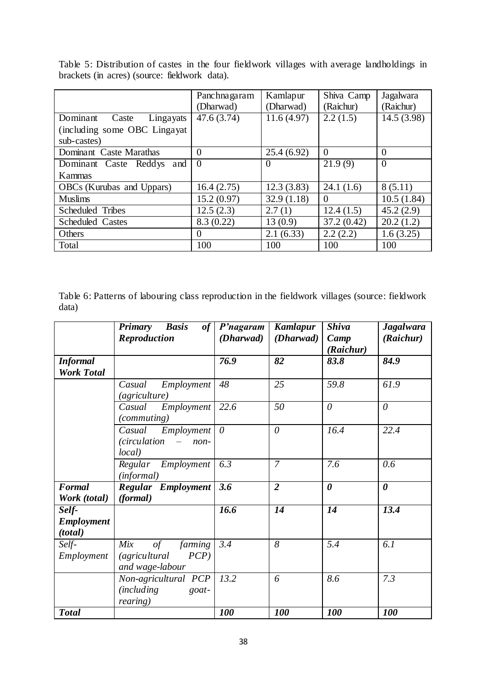|                                                                 | Panchnagaram<br>(Dharwad) | Kamlapur<br>(Dharwad) | Shiva Camp<br>(Raichur) | Jagalwara<br>(Raichur) |
|-----------------------------------------------------------------|---------------------------|-----------------------|-------------------------|------------------------|
| Dominant<br>Caste<br>Lingayats<br>(including some OBC Lingayat) | 47.6(3.74)                | 11.6(4.97)            | 2.2(1.5)                | 14.5(3.98)             |
| sub-castes)                                                     |                           |                       |                         |                        |
| Dominant Caste Marathas                                         | $\Omega$                  | 25.4(6.92)            | $\Omega$                | $\Omega$               |
| Dominant Caste Reddys and                                       | $\theta$                  | $\theta$              | 21.9(9)                 | $\Omega$               |
| Kammas                                                          |                           |                       |                         |                        |
| <b>OBCs</b> (Kurubas and Uppars)                                | 16.4(2.75)                | 12.3(3.83)            | 24.1(1.6)               | 8(5.11)                |
| <b>Muslims</b>                                                  | 15.2(0.97)                | 32.9(1.18)            | $\Omega$                | 10.5(1.84)             |
| Scheduled Tribes                                                | 12.5(2.3)                 | 2.7(1)                | 12.4(1.5)               | 45.2(2.9)              |
| Scheduled Castes                                                | 8.3(0.22)                 | 13(0.9)               | 37.2(0.42)              | 20.2(1.2)              |
| Others                                                          | $\Omega$                  | 2.1(6.33)             | 2.2(2.2)                | 1.6(3.25)              |
| Total                                                           | 100                       | 100                   | 100                     | 100                    |

Table 5: Distribution of castes in the four fieldwork villages with average landholdings in brackets (in acres) (source: fieldwork data).

Table 6: Patterns of labouring class reproduction in the fieldwork villages (source: fieldwork data)

|                                       | <b>Basis</b><br><b>Primary</b><br>of                                  | P'nagaram         | <b>Kamlapur</b>     | <b>Shiva</b>          | <b>Jagalwara</b>      |
|---------------------------------------|-----------------------------------------------------------------------|-------------------|---------------------|-----------------------|-----------------------|
|                                       | <b>Reproduction</b>                                                   | (Dharwad)         | (Dharwad)           | Camp<br>(Raichur)     | (Raichur)             |
| <b>Informal</b><br><b>Work Total</b>  |                                                                       | 76.9              | 82                  | 83.8                  | 84.9                  |
|                                       | Casual<br>Employment<br>(agriculture)                                 | 48                | 25                  | 59.8                  | 61.9                  |
|                                       | Casual<br>Employment<br>(commuting)                                   | 22.6              | 50                  | $\theta$              | $\theta$              |
|                                       | Employment<br>Casual<br><i>circulation</i><br>$non-$<br>local)        | $\theta$          | $\theta$            | 16.4                  | 22.4                  |
|                                       | Employment<br>Regular<br>(informal)                                   | 6.3               | $\overline{7}$      | 7.6                   | 0.6                   |
| <b>Formal</b><br>Work (total)         | Regular Employment<br>(formal)                                        | 3.6               | $\overline{2}$      | $\boldsymbol{\theta}$ | $\boldsymbol{\theta}$ |
| Self-<br><b>Employment</b><br>(total) |                                                                       | $\overline{16.6}$ | $\overline{14}$     | 14                    | $\overline{13.4}$     |
| Self-<br>Employment                   | Mix<br>faming<br>of<br>PCP<br><i>(agricultural</i><br>and wage-labour | 3.4               | $\overline{\delta}$ | $\overline{5.4}$      | $\overline{6}$ .      |
|                                       | Non-agricultural PCP<br><i>(including)</i><br>goat-<br>rearing)       | 13.2              | 6                   | 8.6                   | 7.3                   |
| <b>Total</b>                          |                                                                       | <b>100</b>        | <b>100</b>          | <b>100</b>            | <b>100</b>            |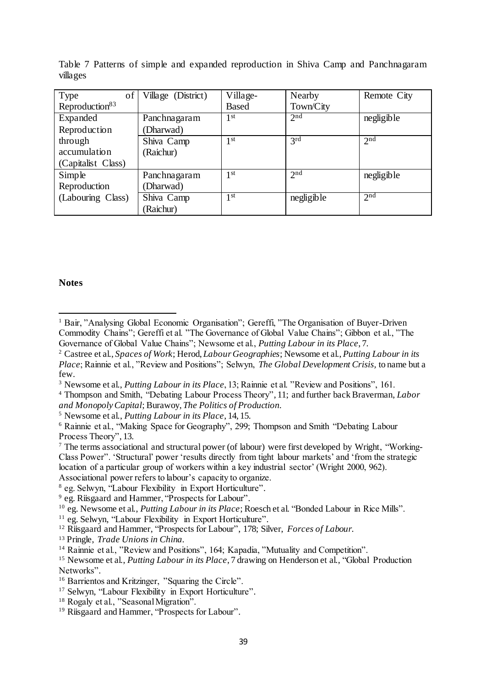|          |  |  |  |  | Table 7 Patterns of simple and expanded reproduction in Shiva Camp and Panchnagaram |  |
|----------|--|--|--|--|-------------------------------------------------------------------------------------|--|
| villages |  |  |  |  |                                                                                     |  |

| Type<br>οf                 | Village (District) | Village-        | Nearby          | Remote City     |
|----------------------------|--------------------|-----------------|-----------------|-----------------|
| Reproduction <sup>83</sup> |                    | <b>Based</b>    | Town/City       |                 |
| Expanded                   | Panchnagaram       | 1 <sup>st</sup> | 2nd             | negligible      |
| Reproduction               | (Dharwad)          |                 |                 |                 |
| through                    | Shiva Camp         | 1 <sup>st</sup> | 3 <sup>rd</sup> | 2 <sub>nd</sub> |
| accumulation               | (Raichur)          |                 |                 |                 |
| (Capitalist Class)         |                    |                 |                 |                 |
| Simple                     | Panchnagaram       | 1 <sup>st</sup> | 2 <sub>nd</sub> | negligible      |
| Reproduction               | (Dharwad)          |                 |                 |                 |
| (Labouring Class)          | Shiva Camp         | 1 <sup>st</sup> | negligible      | 2 <sub>nd</sub> |
|                            | (Raichur)          |                 |                 |                 |

# **Notes**

<sup>3</sup> Newsome et al., *Putting Labour in its Place*, 13; Rainnie et al. "Review and Positions", 161.

<sup>4</sup> Thompson and Smith, "Debating Labour Process Theory", 11; and further back Braverman, *Labor and Monopoly Capital*; Burawoy, *The Politics of Production*.

<sup>5</sup> Newsome et al., *Putting Labour in its Place*, 14, 15.

<sup>7</sup> The terms associational and structural power (of labour) were first developed by Wright, "Working-Class Power". 'Structural' power 'results directly from tight labour markets' and 'from the strategic location of a particular group of workers within a key industrial sector' (Wright 2000, 962).

Associational power refers to labour's capacity to organize.

8 eg. Selwyn, "Labour Flexibility in Export Horticulture".

<sup>9</sup> eg. Riisgaard and Hammer, "Prospects for Labour".

<sup>10</sup> eg. Newsome et al., *Putting Labour in its Place*; Roesch et al. "Bonded Labour in Rice Mills".

<sup>11</sup> eg. Selwyn, "Labour Flexibility in Export Horticulture".

<sup>12</sup> Riisgaard and Hammer, "Prospects for Labour", 178; Silver, *Forces of Labour*.

 $\overline{a}$ <sup>1</sup> Bair, "Analysing Global Economic Organisation"; Gereffi, "The Organisation of Buyer-Driven Commodity Chains"; Gereffi et al. "The Governance of Global Value Chains"; Gibbon et al., "The Governance of Global Value Chains"; Newsome et al., *Putting Labour in its Place*, 7.

<sup>2</sup> Castree et al., *Spaces of Work*; Herod, *Labour Geographies*; Newsome et al., *Putting Labour in its Place*; Rainnie et al., "Review and Positions"; Selwyn, *The Global Development Crisis,* to name but a few.

<sup>6</sup> Rainnie et al., "Making Space for Geography", 299; Thompson and Smith "Debating Labour Process Theory", 13.

<sup>13</sup> Pringle, *Trade Unions in China.*

<sup>&</sup>lt;sup>14</sup> Rainnie et al., "Review and Positions", 164; Kapadia, "Mutuality and Competition".

<sup>&</sup>lt;sup>15</sup> Newsome et al., *Putting Labour in its Place*, 7 drawing on Henderson et al., "Global Production" Networks".

<sup>&</sup>lt;sup>16</sup> Barrientos and Kritzinger, "Squaring the Circle".

<sup>&</sup>lt;sup>17</sup> Selwyn, "Labour Flexibility in Export Horticulture".

<sup>&</sup>lt;sup>18</sup> Rogaly et al., "Seasonal Migration".

<sup>&</sup>lt;sup>19</sup> Riisgaard and Hammer, "Prospects for Labour".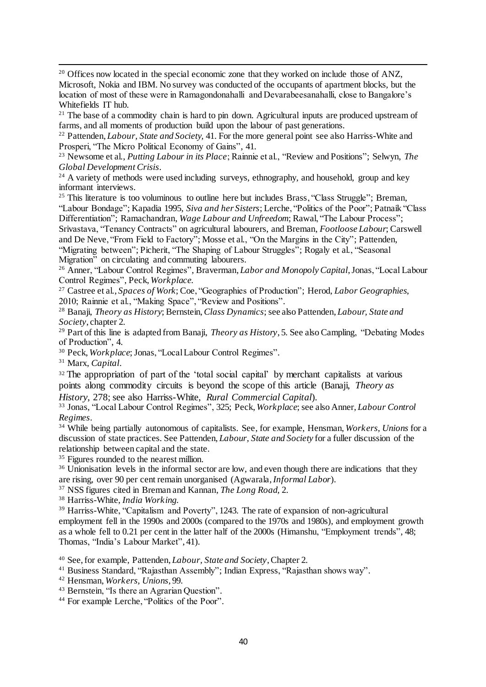j  $20$  Offices now located in the special economic zone that they worked on include those of ANZ, Microsoft, Nokia and IBM. No survey was conducted of the occupants of apartment blocks, but the location of most of these were in Ramagondonahalli and Devarabeesanahalli, close to Bangalore's Whitefields IT hub.

 $21$  The base of a commodity chain is hard to pin down. Agricultural inputs are produced upstream of farms, and all moments of production build upon the labour of past generations.

<sup>22</sup> Pattenden, *Labour, State and Society,* 41. For the more general point see also Harriss-White and Prosperi, "The Micro Political Economy of Gains", 41.

<sup>23</sup> Newsome et al., *Putting Labour in its Place*; Rainnie et al., "Review and Positions"; Selwyn, *The Global Development Crisis*.

 $24$  A variety of methods were used including surveys, ethnography, and household, group and key informant interviews.

 $25$  This literature is too voluminous to outline here but includes Brass, "Class Struggle"; Breman, "Labour Bondage"; Kapadia 1995, *Siva and her Sisters*; Lerche, "Politics of the Poor"; Patnaik "Class Differentiation"; Ramachandran, *Wage Labour and Unfreedom*; Rawal, "The Labour Process"; Srivastava, "Tenancy Contracts" on agricultural labourers, and Breman, *Footloose Labour*; Carswell and De Neve, "From Field to Factory"; Mosse et al., "On the Margins in the City"; Pattenden, "Migrating between"; Picherit, "The Shaping of Labour Struggles"; Rogaly et al., "Seasonal Migration" on circulating and commuting labourers.

<sup>26</sup> Anner, "Labour Control Regimes", Braverman, *Labor and Monopoly Capital*, Jonas, "Local Labour Control Regimes", Peck, *Workplace*.

<sup>27</sup> Castree et al., *Spaces of Work*; Coe, "Geographies of Production"; Herod, *Labor Geographies*, 2010; Rainnie et al., "Making Space", "Review and Positions".

<sup>28</sup> Banaji, *Theory as History*; Bernstein, *Class Dynamics*; see also Pattenden, *Labour, State and Society*, chapter 2.

<sup>29</sup> Part of this line is adapted from Banaji, *Theory as History*, 5. See also Campling, "Debating Modes of Production", 4.

<sup>30</sup> Peck, *Workplace*; Jonas, "Local Labour Control Regimes".

<sup>31</sup> Marx, *Capital*.

<sup>32</sup> The appropriation of part of the 'total social capital' by merchant capitalists at various points along commodity circuits is beyond the scope of this article (Banaji, *Theory as History*, 278; see also Harriss-White, *Rural Commercial Capital*).

<sup>33</sup> Jonas, "Local Labour Control Regimes", 325; Peck, *Workplace*; see also Anner, *Labour Control Regimes*.

<sup>34</sup> While being partially autonomous of capitalists. See, for example, Hensman, *Workers, Unions* for a discussion of state practices. See Pattenden, *Labour, State and Society* for a fuller discussion of the relationship between capital and the state.

<sup>35</sup> Figures rounded to the nearest million.

<sup>36</sup> Unionisation levels in the informal sector are low, and even though there are indications that they are rising, over 90 per cent remain unorganised (Agwarala, *Informal Labor*).

<sup>37</sup> NSS figures cited in Breman and Kannan, *The Long Road,* 2.

<sup>38</sup> Harriss-White, *India Working*.

<sup>39</sup> Harriss-White, "Capitalism and Poverty", 1243. The rate of expansion of non-agricultural employment fell in the 1990s and 2000s (compared to the 1970s and 1980s), and employment growth as a whole fell to 0.21 per cent in the latter half of the 2000s (Himanshu, "Employment trends", 48; Thomas, "India's Labour Market", 41).

<sup>40</sup> See, for example, Pattenden, *Labour, State and Society*, Chapter 2.

<sup>41</sup> Business Standard, "Rajasthan Assembly"; Indian Express, "Rajasthan shows way".

<sup>42</sup> Hensman, *Workers, Unions*, 99.

<sup>43</sup> Bernstein, "Is there an Agrarian Question".

<sup>44</sup> For example Lerche, "Politics of the Poor".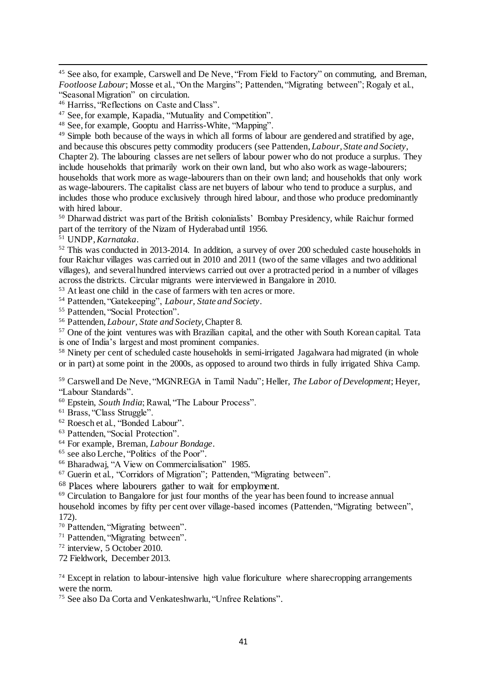j <sup>45</sup> See also, for example, Carswell and De Neve, "From Field to Factory" on commuting, and Breman, *Footloose Labour*; Mosse et al., "On the Margins"; Pattenden, "Migrating between"; Rogaly et al., "Seasonal Migration" on circulation.

<sup>47</sup> See, for example, Kapadia, "Mutuality and Competition".

<sup>48</sup> See, for example, Gooptu and Harriss-White, "Mapping".

<sup>49</sup> Simple both because of the ways in which all forms of labour are gendered and stratified by age, and because this obscures petty commodity producers (see Pattenden, *Labour, State and Society*, Chapter 2). The labouring classes are net sellers of labour power who do not produce a surplus. They include households that primarily work on their own land, but who also work as wage-labourers; households that work more as wage-labourers than on their own land; and households that only work as wage-labourers. The capitalist class are net buyers of labour who tend to produce a surplus, and includes those who produce exclusively through hired labour, and those who produce predominantly with hired labour.

<sup>50</sup> Dharwad district was part of the British colonialists' Bombay Presidency, while Raichur formed part of the territory of the Nizam of Hyderabad until 1956.

<sup>51</sup> UNDP, *Karnataka*.

<sup>52</sup> This was conducted in 2013-2014. In addition, a survey of over 200 scheduled caste households in four Raichur villages was carried out in 2010 and 2011 (two of the same villages and two additional villages), and several hundred interviews carried out over a protracted period in a number of villages across the districts. Circular migrants were interviewed in Bangalore in 2010.

<sup>53</sup> At least one child in the case of farmers with ten acres or more.

<sup>54</sup> Pattenden, "Gatekeeping", *Labour, State and Society*.

<sup>55</sup> Pattenden, "Social Protection".

<sup>56</sup> Pattenden, *Labour, State and Society*, Chapter 8.

<sup>57</sup> One of the joint ventures was with Brazilian capital, and the other with South Korean capital. Tata is one of India's largest and most prominent companies.

<sup>58</sup> Ninety per cent of scheduled caste households in semi-irrigated Jagalwara had migrated (in whole or in part) at some point in the 2000s, as opposed to around two thirds in fully irrigated Shiva Camp.

<sup>59</sup> Carswell and De Neve, "MGNREGA in Tamil Nadu"; Heller, *The Labor of Development*; Heyer, "Labour Standards".

<sup>60</sup> Epstein, *South India*; Rawal, "The Labour Process".

<sup>61</sup> Brass, "Class Struggle".

<sup>62</sup> Roesch et al., "Bonded Labour".

<sup>63</sup> Pattenden, "Social Protection".

<sup>64</sup> For example, Breman, *Labour Bondage*.

<sup>65</sup> see also Lerche, "Politics of the Poor".

<sup>66</sup> Bharadwaj, "A View on Commercialisation" 1985.

<sup>67</sup> Guerin et al., "Corridors of Migration"; Pattenden, "Migrating between".

<sup>68</sup> Places where labourers gather to wait for employment.

<sup>69</sup> Circulation to Bangalore for just four months of the year has been found to increase annual

household incomes by fifty per cent over village-based incomes (Pattenden, "Migrating between", 172).

<sup>70</sup> Pattenden, "Migrating between".

<sup>71</sup> Pattenden, "Migrating between".

<sup>72</sup> interview, 5 October 2010.

72 Fieldwork, December 2013.

 $74$  Except in relation to labour-intensive high value floriculture where sharecropping arrangements were the norm.

<sup>75</sup> See also Da Corta and Venkateshwarlu, "Unfree Relations".

<sup>46</sup> Harriss, "Reflections on Caste and Class".